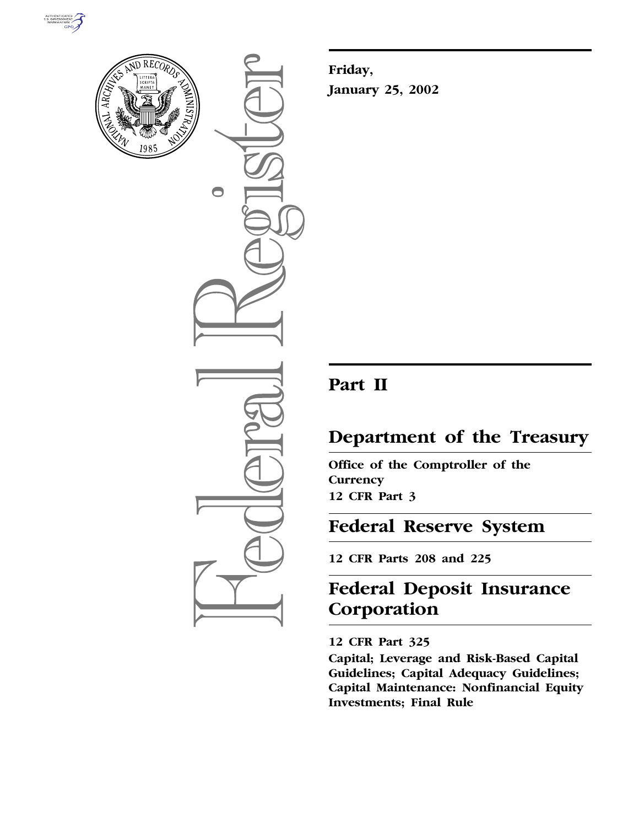



 $\bigcirc$ 

**Friday, January 25, 2002**

## **Part II**

## **Department of the Treasury**

**Office of the Comptroller of the Currency 12 CFR Part 3**

## **Federal Reserve System**

**12 CFR Parts 208 and 225**

# **Federal Deposit Insurance Corporation**

## **12 CFR Part 325**

**Capital; Leverage and Risk-Based Capital Guidelines; Capital Adequacy Guidelines; Capital Maintenance: Nonfinancial Equity Investments; Final Rule**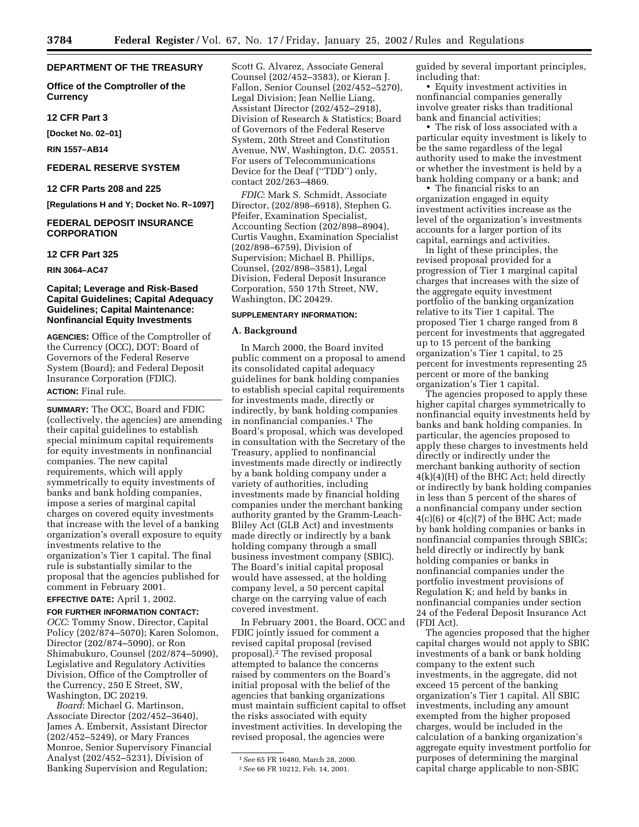#### **DEPARTMENT OF THE TREASURY**

**Office of the Comptroller of the Currency**

#### **12 CFR Part 3**

**[Docket No. 02–01]**

**RIN 1557–AB14**

#### **FEDERAL RESERVE SYSTEM**

## **12 CFR Parts 208 and 225**

**[Regulations H and Y; Docket No. R–1097]**

### **FEDERAL DEPOSIT INSURANCE CORPORATION**

#### **12 CFR Part 325**

**RIN 3064–AC47**

## **Capital; Leverage and Risk-Based Capital Guidelines; Capital Adequacy Guidelines; Capital Maintenance: Nonfinancial Equity Investments**

**AGENCIES:** Office of the Comptroller of the Currency (OCC), DOT; Board of Governors of the Federal Reserve System (Board); and Federal Deposit Insurance Corporation (FDIC). **ACTION:** Final rule.

## **SUMMARY:** The OCC, Board and FDIC (collectively, the agencies) are amending their capital guidelines to establish special minimum capital requirements for equity investments in nonfinancial companies. The new capital requirements, which will apply symmetrically to equity investments of banks and bank holding companies, impose a series of marginal capital charges on covered equity investments that increase with the level of a banking organization's overall exposure to equity investments relative to the organization's Tier 1 capital. The final rule is substantially similar to the proposal that the agencies published for comment in February 2001.

**EFFECTIVE DATE:** April 1, 2002.

**FOR FURTHER INFORMATION CONTACT:** *OCC*: Tommy Snow, Director, Capital Policy (202/874–5070); Karen Solomon, Director (202/874–5090), or Ron Shimabukuro, Counsel (202/874–5090), Legislative and Regulatory Activities Division, Office of the Comptroller of the Currency, 250 E Street, SW, Washington, DC 20219.

*Board*: Michael G. Martinson, Associate Director (202/452–3640), James A. Embersit, Assistant Director (202/452–5249), or Mary Frances Monroe, Senior Supervisory Financial Analyst (202/452–5231), Division of Banking Supervision and Regulation;

Scott G. Alvarez, Associate General Counsel (202/452–3583), or Kieran J. Fallon, Senior Counsel (202/452–5270), Legal Division; Jean Nellie Liang, Assistant Director (202/452–2918), Division of Research & Statistics; Board of Governors of the Federal Reserve System, 20th Street and Constitution Avenue, NW, Washington, D.C. 20551. For users of Telecommunications Device for the Deaf (''TDD'') only, contact 202/263–4869.

*FDIC*: Mark S. Schmidt, Associate Director, (202/898–6918), Stephen G. Pfeifer, Examination Specialist, Accounting Section (202/898–8904), Curtis Vaughn, Examination Specialist (202/898–6759), Division of Supervision; Michael B. Phillips, Counsel, (202/898–3581), Legal Division, Federal Deposit Insurance Corporation, 550 17th Street, NW, Washington, DC 20429.

## **SUPPLEMENTARY INFORMATION:**

#### **A. Background**

In March 2000, the Board invited public comment on a proposal to amend its consolidated capital adequacy guidelines for bank holding companies to establish special capital requirements for investments made, directly or indirectly, by bank holding companies in nonfinancial companies.1 The Board's proposal, which was developed in consultation with the Secretary of the Treasury, applied to nonfinancial investments made directly or indirectly by a bank holding company under a variety of authorities, including investments made by financial holding companies under the merchant banking authority granted by the Gramm-Leach-Bliley Act (GLB Act) and investments made directly or indirectly by a bank holding company through a small business investment company (SBIC). The Board's initial capital proposal would have assessed, at the holding company level, a 50 percent capital charge on the carrying value of each covered investment.

In February 2001, the Board, OCC and FDIC jointly issued for comment a revised capital proposal (revised proposal).2 The revised proposal attempted to balance the concerns raised by commenters on the Board's initial proposal with the belief of the agencies that banking organizations must maintain sufficient capital to offset the risks associated with equity investment activities. In developing the revised proposal, the agencies were

guided by several important principles, including that:

• Equity investment activities in nonfinancial companies generally involve greater risks than traditional bank and financial activities;

• The risk of loss associated with a particular equity investment is likely to be the same regardless of the legal authority used to make the investment or whether the investment is held by a bank holding company or a bank; and

• The financial risks to an organization engaged in equity investment activities increase as the level of the organization's investments accounts for a larger portion of its capital, earnings and activities.

In light of these principles, the revised proposal provided for a progression of Tier 1 marginal capital charges that increases with the size of the aggregate equity investment portfolio of the banking organization relative to its Tier 1 capital. The proposed Tier 1 charge ranged from 8 percent for investments that aggregated up to 15 percent of the banking organization's Tier 1 capital, to 25 percent for investments representing 25 percent or more of the banking organization's Tier 1 capital.

The agencies proposed to apply these higher capital charges symmetrically to nonfinancial equity investments held by banks and bank holding companies. In particular, the agencies proposed to apply these charges to investments held directly or indirectly under the merchant banking authority of section  $4(k)(4)(H)$  of the BHC Act; held directly or indirectly by bank holding companies in less than 5 percent of the shares of a nonfinancial company under section  $4(c)(6)$  or  $4(c)(7)$  of the BHC Act; made by bank holding companies or banks in nonfinancial companies through SBICs; held directly or indirectly by bank holding companies or banks in nonfinancial companies under the portfolio investment provisions of Regulation K; and held by banks in nonfinancial companies under section 24 of the Federal Deposit Insurance Act (FDI Act).

The agencies proposed that the higher capital charges would not apply to SBIC investments of a bank or bank holding company to the extent such investments, in the aggregate, did not exceed 15 percent of the banking organization's Tier 1 capital. All SBIC investments, including any amount exempted from the higher proposed charges, would be included in the calculation of a banking organization's aggregate equity investment portfolio for purposes of determining the marginal capital charge applicable to non-SBIC

<sup>1</sup>*See* 65 FR 16480, March 28, 2000.

<sup>2</sup>*See* 66 FR 10212, Feb. 14, 2001.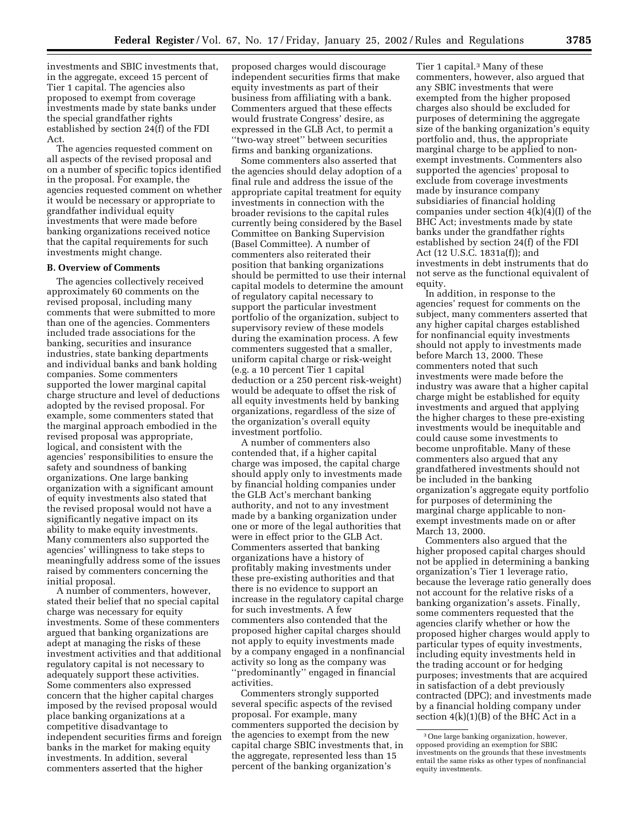investments and SBIC investments that, in the aggregate, exceed 15 percent of Tier 1 capital. The agencies also proposed to exempt from coverage investments made by state banks under the special grandfather rights established by section 24(f) of the FDI Act.

The agencies requested comment on all aspects of the revised proposal and on a number of specific topics identified in the proposal. For example, the agencies requested comment on whether it would be necessary or appropriate to grandfather individual equity investments that were made before banking organizations received notice that the capital requirements for such investments might change.

### **B. Overview of Comments**

The agencies collectively received approximately 60 comments on the revised proposal, including many comments that were submitted to more than one of the agencies. Commenters included trade associations for the banking, securities and insurance industries, state banking departments and individual banks and bank holding companies. Some commenters supported the lower marginal capital charge structure and level of deductions adopted by the revised proposal. For example, some commenters stated that the marginal approach embodied in the revised proposal was appropriate, logical, and consistent with the agencies' responsibilities to ensure the safety and soundness of banking organizations. One large banking organization with a significant amount of equity investments also stated that the revised proposal would not have a significantly negative impact on its ability to make equity investments. Many commenters also supported the agencies' willingness to take steps to meaningfully address some of the issues raised by commenters concerning the initial proposal.

A number of commenters, however, stated their belief that no special capital charge was necessary for equity investments. Some of these commenters argued that banking organizations are adept at managing the risks of these investment activities and that additional regulatory capital is not necessary to adequately support these activities. Some commenters also expressed concern that the higher capital charges imposed by the revised proposal would place banking organizations at a competitive disadvantage to independent securities firms and foreign banks in the market for making equity investments. In addition, several commenters asserted that the higher

proposed charges would discourage independent securities firms that make equity investments as part of their business from affiliating with a bank. Commenters argued that these effects would frustrate Congress' desire, as expressed in the GLB Act, to permit a ''two-way street'' between securities firms and banking organizations.

Some commenters also asserted that the agencies should delay adoption of a final rule and address the issue of the appropriate capital treatment for equity investments in connection with the broader revisions to the capital rules currently being considered by the Basel Committee on Banking Supervision (Basel Committee). A number of commenters also reiterated their position that banking organizations should be permitted to use their internal capital models to determine the amount of regulatory capital necessary to support the particular investment portfolio of the organization, subject to supervisory review of these models during the examination process. A few commenters suggested that a smaller, uniform capital charge or risk-weight (e.g. a 10 percent Tier 1 capital deduction or a 250 percent risk-weight) would be adequate to offset the risk of all equity investments held by banking organizations, regardless of the size of the organization's overall equity investment portfolio.

A number of commenters also contended that, if a higher capital charge was imposed, the capital charge should apply only to investments made by financial holding companies under the GLB Act's merchant banking authority, and not to any investment made by a banking organization under one or more of the legal authorities that were in effect prior to the GLB Act. Commenters asserted that banking organizations have a history of profitably making investments under these pre-existing authorities and that there is no evidence to support an increase in the regulatory capital charge for such investments. A few commenters also contended that the proposed higher capital charges should not apply to equity investments made by a company engaged in a nonfinancial activity so long as the company was ''predominantly'' engaged in financial activities.

Commenters strongly supported several specific aspects of the revised proposal. For example, many commenters supported the decision by the agencies to exempt from the new capital charge SBIC investments that, in the aggregate, represented less than 15 percent of the banking organization's

Tier 1 capital.3 Many of these commenters, however, also argued that any SBIC investments that were exempted from the higher proposed charges also should be excluded for purposes of determining the aggregate size of the banking organization's equity portfolio and, thus, the appropriate marginal charge to be applied to nonexempt investments. Commenters also supported the agencies' proposal to exclude from coverage investments made by insurance company subsidiaries of financial holding companies under section  $4(k)(4)(I)$  of the BHC Act; investments made by state banks under the grandfather rights established by section 24(f) of the FDI Act (12 U.S.C. 1831a(f)); and investments in debt instruments that do not serve as the functional equivalent of equity.

In addition, in response to the agencies' request for comments on the subject, many commenters asserted that any higher capital charges established for nonfinancial equity investments should not apply to investments made before March 13, 2000. These commenters noted that such investments were made before the industry was aware that a higher capital charge might be established for equity investments and argued that applying the higher charges to these pre-existing investments would be inequitable and could cause some investments to become unprofitable. Many of these commenters also argued that any grandfathered investments should not be included in the banking organization's aggregate equity portfolio for purposes of determining the marginal charge applicable to nonexempt investments made on or after March 13, 2000.

Commenters also argued that the higher proposed capital charges should not be applied in determining a banking organization's Tier 1 leverage ratio, because the leverage ratio generally does not account for the relative risks of a banking organization's assets. Finally, some commenters requested that the agencies clarify whether or how the proposed higher charges would apply to particular types of equity investments, including equity investments held in the trading account or for hedging purposes; investments that are acquired in satisfaction of a debt previously contracted (DPC); and investments made by a financial holding company under section  $4(k)(1)(B)$  of the BHC Act in a

<sup>3</sup>One large banking organization, however, opposed providing an exemption for SBIC investments on the grounds that these investments entail the same risks as other types of nonfinancial equity investments.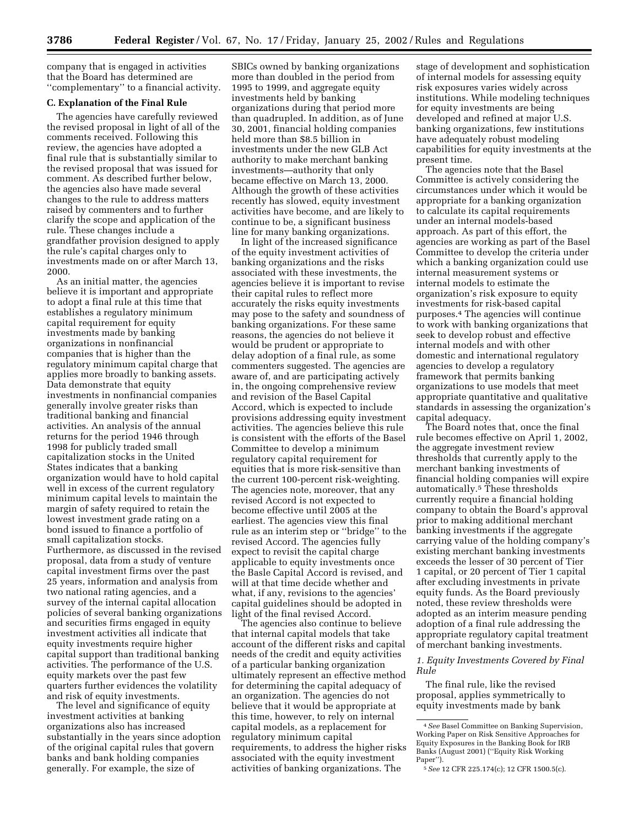company that is engaged in activities that the Board has determined are ''complementary'' to a financial activity.

#### **C. Explanation of the Final Rule**

The agencies have carefully reviewed the revised proposal in light of all of the comments received. Following this review, the agencies have adopted a final rule that is substantially similar to the revised proposal that was issued for comment. As described further below, the agencies also have made several changes to the rule to address matters raised by commenters and to further clarify the scope and application of the rule. These changes include a grandfather provision designed to apply the rule's capital charges only to investments made on or after March 13, 2000.

As an initial matter, the agencies believe it is important and appropriate to adopt a final rule at this time that establishes a regulatory minimum capital requirement for equity investments made by banking organizations in nonfinancial companies that is higher than the regulatory minimum capital charge that applies more broadly to banking assets. Data demonstrate that equity investments in nonfinancial companies generally involve greater risks than traditional banking and financial activities. An analysis of the annual returns for the period 1946 through 1998 for publicly traded small capitalization stocks in the United States indicates that a banking organization would have to hold capital well in excess of the current regulatory minimum capital levels to maintain the margin of safety required to retain the lowest investment grade rating on a bond issued to finance a portfolio of small capitalization stocks. Furthermore, as discussed in the revised proposal, data from a study of venture capital investment firms over the past 25 years, information and analysis from two national rating agencies, and a survey of the internal capital allocation policies of several banking organizations and securities firms engaged in equity investment activities all indicate that equity investments require higher capital support than traditional banking activities. The performance of the U.S. equity markets over the past few quarters further evidences the volatility and risk of equity investments.

The level and significance of equity investment activities at banking organizations also has increased substantially in the years since adoption of the original capital rules that govern banks and bank holding companies generally. For example, the size of

SBICs owned by banking organizations more than doubled in the period from 1995 to 1999, and aggregate equity investments held by banking organizations during that period more than quadrupled. In addition, as of June 30, 2001, financial holding companies held more than \$8.5 billion in investments under the new GLB Act authority to make merchant banking investments—authority that only became effective on March 13, 2000. Although the growth of these activities recently has slowed, equity investment activities have become, and are likely to continue to be, a significant business line for many banking organizations.

In light of the increased significance of the equity investment activities of banking organizations and the risks associated with these investments, the agencies believe it is important to revise their capital rules to reflect more accurately the risks equity investments may pose to the safety and soundness of banking organizations. For these same reasons, the agencies do not believe it would be prudent or appropriate to delay adoption of a final rule, as some commenters suggested. The agencies are aware of, and are participating actively in, the ongoing comprehensive review and revision of the Basel Capital Accord, which is expected to include provisions addressing equity investment activities. The agencies believe this rule is consistent with the efforts of the Basel Committee to develop a minimum regulatory capital requirement for equities that is more risk-sensitive than the current 100-percent risk-weighting. The agencies note, moreover, that any revised Accord is not expected to become effective until 2005 at the earliest. The agencies view this final rule as an interim step or ''bridge'' to the revised Accord. The agencies fully expect to revisit the capital charge applicable to equity investments once the Basle Capital Accord is revised, and will at that time decide whether and what, if any, revisions to the agencies' capital guidelines should be adopted in light of the final revised Accord.

The agencies also continue to believe that internal capital models that take account of the different risks and capital needs of the credit and equity activities of a particular banking organization ultimately represent an effective method for determining the capital adequacy of an organization. The agencies do not believe that it would be appropriate at this time, however, to rely on internal capital models, as a replacement for regulatory minimum capital requirements, to address the higher risks associated with the equity investment activities of banking organizations. The

stage of development and sophistication of internal models for assessing equity risk exposures varies widely across institutions. While modeling techniques for equity investments are being developed and refined at major U.S. banking organizations, few institutions have adequately robust modeling capabilities for equity investments at the present time.

The agencies note that the Basel Committee is actively considering the circumstances under which it would be appropriate for a banking organization to calculate its capital requirements under an internal models-based approach. As part of this effort, the agencies are working as part of the Basel Committee to develop the criteria under which a banking organization could use internal measurement systems or internal models to estimate the organization's risk exposure to equity investments for risk-based capital purposes.4 The agencies will continue to work with banking organizations that seek to develop robust and effective internal models and with other domestic and international regulatory agencies to develop a regulatory framework that permits banking organizations to use models that meet appropriate quantitative and qualitative standards in assessing the organization's capital adequacy.

The Board notes that, once the final rule becomes effective on April 1, 2002, the aggregate investment review thresholds that currently apply to the merchant banking investments of financial holding companies will expire automatically.5 These thresholds currently require a financial holding company to obtain the Board's approval prior to making additional merchant banking investments if the aggregate carrying value of the holding company's existing merchant banking investments exceeds the lesser of 30 percent of Tier 1 capital, or 20 percent of Tier 1 capital after excluding investments in private equity funds. As the Board previously noted, these review thresholds were adopted as an interim measure pending adoption of a final rule addressing the appropriate regulatory capital treatment of merchant banking investments.

## *1. Equity Investments Covered by Final Rule*

The final rule, like the revised proposal, applies symmetrically to equity investments made by bank

<sup>4</sup>*See* Basel Committee on Banking Supervision, Working Paper on Risk Sensitive Approaches for Equity Exposures in the Banking Book for IRB Banks (August 2001) (''Equity Risk Working Paper'').

<sup>5</sup>*See* 12 CFR 225.174(c); 12 CFR 1500.5(c).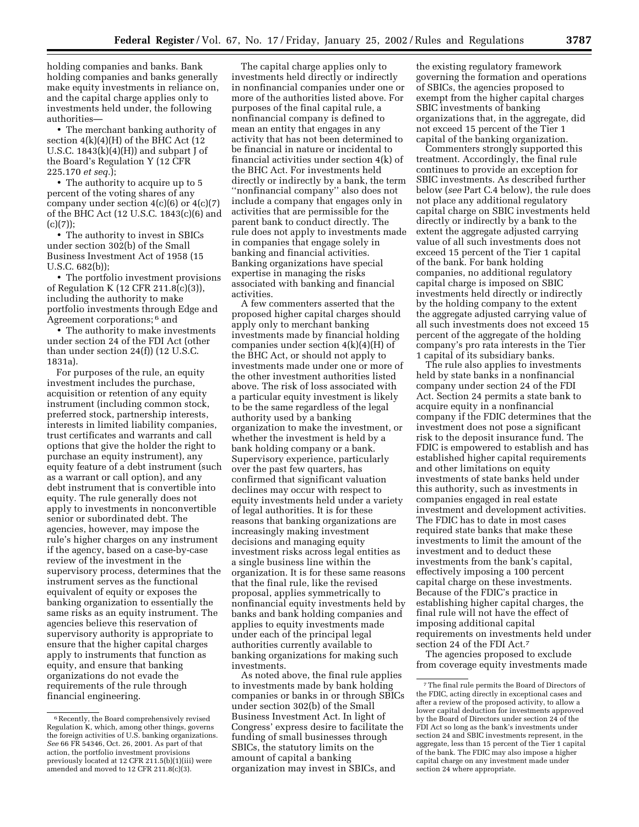holding companies and banks. Bank holding companies and banks generally make equity investments in reliance on, and the capital charge applies only to investments held under, the following

authorities— • The merchant banking authority of section 4(k)(4)(H) of the BHC Act (12 U.S.C.  $1843(k)(4)(H)$  and subpart J of the Board's Regulation Y (12 CFR 225.170 *et seq.*);

• The authority to acquire up to 5 percent of the voting shares of any company under section  $4(c)(6)$  or  $4(c)(7)$ of the BHC Act (12 U.S.C. 1843(c)(6) and  $(c)(7);$ 

• The authority to invest in SBICs under section 302(b) of the Small Business Investment Act of 1958 (15 U.S.C. 682(b));

• The portfolio investment provisions of Regulation K (12 CFR 211.8(c)(3)), including the authority to make portfolio investments through Edge and Agreement corporations; 6 and

• The authority to make investments under section 24 of the FDI Act (other than under section 24(f)) (12 U.S.C. 1831a).

For purposes of the rule, an equity investment includes the purchase, acquisition or retention of any equity instrument (including common stock, preferred stock, partnership interests, interests in limited liability companies, trust certificates and warrants and call options that give the holder the right to purchase an equity instrument), any equity feature of a debt instrument (such as a warrant or call option), and any debt instrument that is convertible into equity. The rule generally does not apply to investments in nonconvertible senior or subordinated debt. The agencies, however, may impose the rule's higher charges on any instrument if the agency, based on a case-by-case review of the investment in the supervisory process, determines that the instrument serves as the functional equivalent of equity or exposes the banking organization to essentially the same risks as an equity instrument. The agencies believe this reservation of supervisory authority is appropriate to ensure that the higher capital charges apply to instruments that function as equity, and ensure that banking organizations do not evade the requirements of the rule through financial engineering.

The capital charge applies only to investments held directly or indirectly in nonfinancial companies under one or more of the authorities listed above. For purposes of the final capital rule, a nonfinancial company is defined to mean an entity that engages in any activity that has not been determined to be financial in nature or incidental to financial activities under section 4(k) of the BHC Act. For investments held directly or indirectly by a bank, the term ''nonfinancial company'' also does not include a company that engages only in activities that are permissible for the parent bank to conduct directly. The rule does not apply to investments made in companies that engage solely in banking and financial activities. Banking organizations have special expertise in managing the risks associated with banking and financial activities.

A few commenters asserted that the proposed higher capital charges should apply only to merchant banking investments made by financial holding companies under section 4(k)(4)(H) of the BHC Act, or should not apply to investments made under one or more of the other investment authorities listed above. The risk of loss associated with a particular equity investment is likely to be the same regardless of the legal authority used by a banking organization to make the investment, or whether the investment is held by a bank holding company or a bank. Supervisory experience, particularly over the past few quarters, has confirmed that significant valuation declines may occur with respect to equity investments held under a variety of legal authorities. It is for these reasons that banking organizations are increasingly making investment decisions and managing equity investment risks across legal entities as a single business line within the organization. It is for these same reasons that the final rule, like the revised proposal, applies symmetrically to nonfinancial equity investments held by banks and bank holding companies and applies to equity investments made under each of the principal legal authorities currently available to banking organizations for making such investments.

As noted above, the final rule applies to investments made by bank holding companies or banks in or through SBICs under section 302(b) of the Small Business Investment Act. In light of Congress' express desire to facilitate the funding of small businesses through SBICs, the statutory limits on the amount of capital a banking organization may invest in SBICs, and

the existing regulatory framework governing the formation and operations of SBICs, the agencies proposed to exempt from the higher capital charges SBIC investments of banking organizations that, in the aggregate, did not exceed 15 percent of the Tier 1 capital of the banking organization.

Commenters strongly supported this treatment. Accordingly, the final rule continues to provide an exception for SBIC investments. As described further below (*see* Part C.4 below), the rule does not place any additional regulatory capital charge on SBIC investments held directly or indirectly by a bank to the extent the aggregate adjusted carrying value of all such investments does not exceed 15 percent of the Tier 1 capital of the bank. For bank holding companies, no additional regulatory capital charge is imposed on SBIC investments held directly or indirectly by the holding company to the extent the aggregate adjusted carrying value of all such investments does not exceed 15 percent of the aggregate of the holding company's pro rata interests in the Tier 1 capital of its subsidiary banks.

The rule also applies to investments held by state banks in a nonfinancial company under section 24 of the FDI Act. Section 24 permits a state bank to acquire equity in a nonfinancial company if the FDIC determines that the investment does not pose a significant risk to the deposit insurance fund. The FDIC is empowered to establish and has established higher capital requirements and other limitations on equity investments of state banks held under this authority, such as investments in companies engaged in real estate investment and development activities. The FDIC has to date in most cases required state banks that make these investments to limit the amount of the investment and to deduct these investments from the bank's capital, effectively imposing a 100 percent capital charge on these investments. Because of the FDIC's practice in establishing higher capital charges, the final rule will not have the effect of imposing additional capital requirements on investments held under section 24 of the FDI Act.7

The agencies proposed to exclude from coverage equity investments made

<sup>6</sup>Recently, the Board comprehensively revised Regulation K, which, among other things, governs the foreign activities of U.S. banking organizations. *See* 66 FR 54346, Oct. 26, 2001. As part of that action, the portfolio investment provisions previously located at 12 CFR 211.5(b)(1)(iii) were amended and moved to 12 CFR 211.8(c)(3).

<sup>7</sup>The final rule permits the Board of Directors of the FDIC, acting directly in exceptional cases and after a review of the proposed activity, to allow a lower capital deduction for investments approved by the Board of Directors under section 24 of the FDI Act so long as the bank's investments under section 24 and SBIC investments represent, in the aggregate, less than 15 percent of the Tier 1 capital of the bank. The FDIC may also impose a higher capital charge on any investment made under section 24 where appropriate.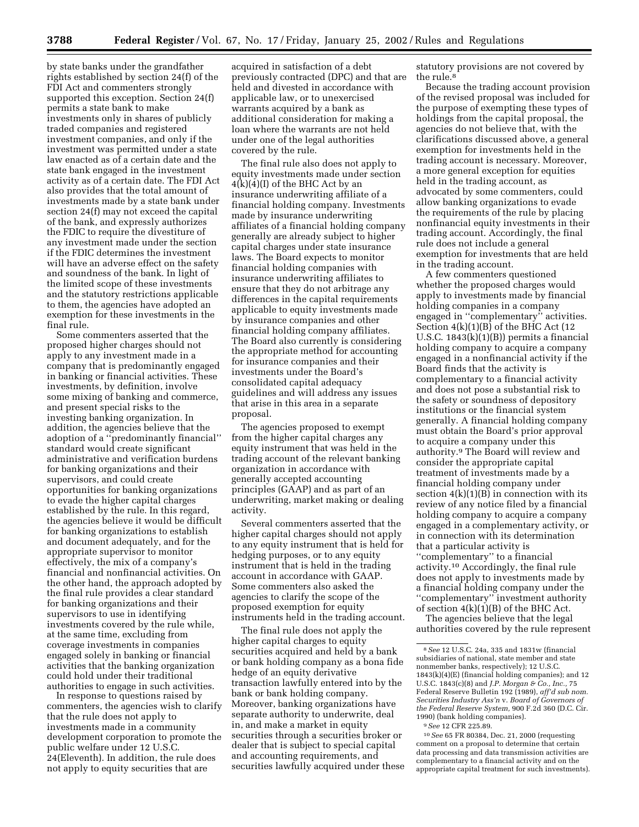by state banks under the grandfather rights established by section 24(f) of the FDI Act and commenters strongly supported this exception. Section 24(f) permits a state bank to make investments only in shares of publicly traded companies and registered investment companies, and only if the investment was permitted under a state law enacted as of a certain date and the state bank engaged in the investment activity as of a certain date. The FDI Act also provides that the total amount of investments made by a state bank under section 24(f) may not exceed the capital of the bank, and expressly authorizes the FDIC to require the divestiture of any investment made under the section if the FDIC determines the investment will have an adverse effect on the safety and soundness of the bank. In light of the limited scope of these investments and the statutory restrictions applicable to them, the agencies have adopted an exemption for these investments in the final rule.

Some commenters asserted that the proposed higher charges should not apply to any investment made in a company that is predominantly engaged in banking or financial activities. These investments, by definition, involve some mixing of banking and commerce, and present special risks to the investing banking organization. In addition, the agencies believe that the adoption of a ''predominantly financial'' standard would create significant administrative and verification burdens for banking organizations and their supervisors, and could create opportunities for banking organizations to evade the higher capital charges established by the rule. In this regard, the agencies believe it would be difficult for banking organizations to establish and document adequately, and for the appropriate supervisor to monitor effectively, the mix of a company's financial and nonfinancial activities. On the other hand, the approach adopted by the final rule provides a clear standard for banking organizations and their supervisors to use in identifying investments covered by the rule while, at the same time, excluding from coverage investments in companies engaged solely in banking or financial activities that the banking organization could hold under their traditional authorities to engage in such activities.

In response to questions raised by commenters, the agencies wish to clarify that the rule does not apply to investments made in a community development corporation to promote the public welfare under 12 U.S.C. 24(Eleventh). In addition, the rule does not apply to equity securities that are

acquired in satisfaction of a debt previously contracted (DPC) and that are held and divested in accordance with applicable law, or to unexercised warrants acquired by a bank as additional consideration for making a loan where the warrants are not held under one of the legal authorities covered by the rule.

The final rule also does not apply to equity investments made under section 4(k)(4)(I) of the BHC Act by an insurance underwriting affiliate of a financial holding company. Investments made by insurance underwriting affiliates of a financial holding company generally are already subject to higher capital charges under state insurance laws. The Board expects to monitor financial holding companies with insurance underwriting affiliates to ensure that they do not arbitrage any differences in the capital requirements applicable to equity investments made by insurance companies and other financial holding company affiliates. The Board also currently is considering the appropriate method for accounting for insurance companies and their investments under the Board's consolidated capital adequacy guidelines and will address any issues that arise in this area in a separate proposal.

The agencies proposed to exempt from the higher capital charges any equity instrument that was held in the trading account of the relevant banking organization in accordance with generally accepted accounting principles (GAAP) and as part of an underwriting, market making or dealing activity.

Several commenters asserted that the higher capital charges should not apply to any equity instrument that is held for hedging purposes, or to any equity instrument that is held in the trading account in accordance with GAAP. Some commenters also asked the agencies to clarify the scope of the proposed exemption for equity instruments held in the trading account.

The final rule does not apply the higher capital charges to equity securities acquired and held by a bank or bank holding company as a bona fide hedge of an equity derivative transaction lawfully entered into by the bank or bank holding company. Moreover, banking organizations have separate authority to underwrite, deal in, and make a market in equity securities through a securities broker or dealer that is subject to special capital and accounting requirements, and securities lawfully acquired under these

statutory provisions are not covered by the rule.<sup>8</sup>

Because the trading account provision of the revised proposal was included for the purpose of exempting these types of holdings from the capital proposal, the agencies do not believe that, with the clarifications discussed above, a general exemption for investments held in the trading account is necessary. Moreover, a more general exception for equities held in the trading account, as advocated by some commenters, could allow banking organizations to evade the requirements of the rule by placing nonfinancial equity investments in their trading account. Accordingly, the final rule does not include a general exemption for investments that are held in the trading account.

A few commenters questioned whether the proposed charges would apply to investments made by financial holding companies in a company engaged in ''complementary'' activities. Section 4(k)(1)(B) of the BHC Act (12 U.S.C. 1843(k)(1)(B)) permits a financial holding company to acquire a company engaged in a nonfinancial activity if the Board finds that the activity is complementary to a financial activity and does not pose a substantial risk to the safety or soundness of depository institutions or the financial system generally. A financial holding company must obtain the Board's prior approval to acquire a company under this authority.9 The Board will review and consider the appropriate capital treatment of investments made by a financial holding company under section  $4(k)(1)(B)$  in connection with its review of any notice filed by a financial holding company to acquire a company engaged in a complementary activity, or in connection with its determination that a particular activity is ''complementary'' to a financial activity.10 Accordingly, the final rule does not apply to investments made by a financial holding company under the ''complementary'' investment authority of section  $4(k)(1)(B)$  of the BHC Act.

The agencies believe that the legal authorities covered by the rule represent

<sup>8</sup>*See* 12 U.S.C. 24a, 335 and 1831w (financial subsidiaries of national, state member and state nonmember banks, respectively); 12 U.S.C. 1843(k)(4)(E) (financial holding companies); and 12 U.S.C. 1843(c)(8) and *J.P. Morgan & Co., Inc.,* 75 Federal Reserve Bulletin 192 (1989), *aff'd sub nom. Securities Industry Ass'n* v. *Board of Governors of the Federal Reserve System,* 900 F.2d 360 (D.C. Cir. 1990) (bank holding companies).

<sup>9</sup>*See* 12 CFR 225.89.

<sup>10</sup>*See* 65 FR 80384, Dec. 21, 2000 (requesting comment on a proposal to determine that certain data processing and data transmission activities are complementary to a financial activity and on the appropriate capital treatment for such investments).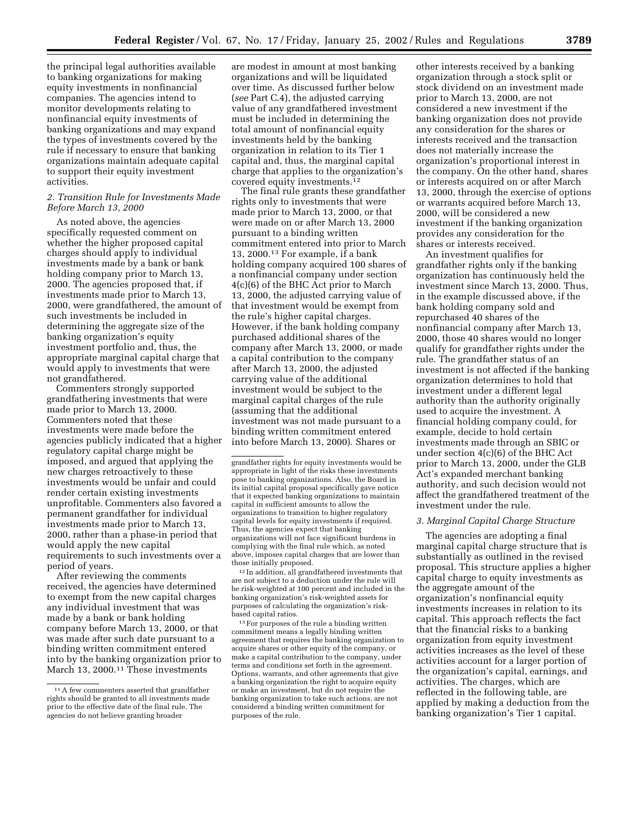the principal legal authorities available to banking organizations for making equity investments in nonfinancial companies. The agencies intend to monitor developments relating to nonfinancial equity investments of banking organizations and may expand the types of investments covered by the rule if necessary to ensure that banking organizations maintain adequate capital to support their equity investment activities.

## *2. Transition Rule for Investments Made Before March 13, 2000*

As noted above, the agencies specifically requested comment on whether the higher proposed capital charges should apply to individual investments made by a bank or bank holding company prior to March 13, 2000. The agencies proposed that, if investments made prior to March 13, 2000, were grandfathered, the amount of such investments be included in determining the aggregate size of the banking organization's equity investment portfolio and, thus, the appropriate marginal capital charge that would apply to investments that were not grandfathered.

Commenters strongly supported grandfathering investments that were made prior to March 13, 2000. Commenters noted that these investments were made before the agencies publicly indicated that a higher regulatory capital charge might be imposed, and argued that applying the new charges retroactively to these investments would be unfair and could render certain existing investments unprofitable. Commenters also favored a permanent grandfather for individual investments made prior to March 13, 2000, rather than a phase-in period that would apply the new capital requirements to such investments over a period of years.

After reviewing the comments received, the agencies have determined to exempt from the new capital charges any individual investment that was made by a bank or bank holding company before March 13, 2000, or that was made after such date pursuant to a binding written commitment entered into by the banking organization prior to March 13, 2000.<sup>11</sup> These investments

are modest in amount at most banking organizations and will be liquidated over time. As discussed further below (*see* Part C.4), the adjusted carrying value of any grandfathered investment must be included in determining the total amount of nonfinancial equity investments held by the banking organization in relation to its Tier 1 capital and, thus, the marginal capital charge that applies to the organization's covered equity investments.12

The final rule grants these grandfather rights only to investments that were made prior to March 13, 2000, or that were made on or after March 13, 2000 pursuant to a binding written commitment entered into prior to March 13, 2000.13 For example, if a bank holding company acquired 100 shares of a nonfinancial company under section 4(c)(6) of the BHC Act prior to March 13, 2000, the adjusted carrying value of that investment would be exempt from the rule's higher capital charges. However, if the bank holding company purchased additional shares of the company after March 13, 2000, or made a capital contribution to the company after March 13, 2000, the adjusted carrying value of the additional investment would be subject to the marginal capital charges of the rule (assuming that the additional investment was not made pursuant to a binding written commitment entered into before March 13, 2000). Shares or

12 In addition, all grandfathered investments that are not subject to a deduction under the rule will be risk-weighted at 100 percent and included in the banking organization's risk-weighted assets for purposes of calculating the organization's riskbased capital ratios.

13For purposes of the rule a binding written commitment means a legally binding written agreement that requires the banking organization to acquire shares or other equity of the company, or make a capital contribution to the company, under terms and conditions set forth in the agreement. Options, warrants, and other agreements that give a banking organization the right to acquire equity or make an investment, but do not require the banking organization to take such actions, are not considered a binding written commitment for purposes of the rule.

other interests received by a banking organization through a stock split or stock dividend on an investment made prior to March 13, 2000, are not considered a new investment if the banking organization does not provide any consideration for the shares or interests received and the transaction does not materially increase the organization's proportional interest in the company. On the other hand, shares or interests acquired on or after March 13, 2000, through the exercise of options or warrants acquired before March 13, 2000, will be considered a new investment if the banking organization provides any consideration for the shares or interests received.

An investment qualifies for grandfather rights only if the banking organization has continuously held the investment since March 13, 2000. Thus, in the example discussed above, if the bank holding company sold and repurchased 40 shares of the nonfinancial company after March 13, 2000, those 40 shares would no longer qualify for grandfather rights under the rule. The grandfather status of an investment is not affected if the banking organization determines to hold that investment under a different legal authority than the authority originally used to acquire the investment. A financial holding company could, for example, decide to hold certain investments made through an SBIC or under section 4(c)(6) of the BHC Act prior to March 13, 2000, under the GLB Act's expanded merchant banking authority, and such decision would not affect the grandfathered treatment of the investment under the rule.

#### *3. Marginal Capital Charge Structure*

The agencies are adopting a final marginal capital charge structure that is substantially as outlined in the revised proposal. This structure applies a higher capital charge to equity investments as the aggregate amount of the organization's nonfinancial equity investments increases in relation to its capital. This approach reflects the fact that the financial risks to a banking organization from equity investment activities increases as the level of these activities account for a larger portion of the organization's capital, earnings, and activities. The charges, which are reflected in the following table, are applied by making a deduction from the banking organization's Tier 1 capital.

 $^{\rm 11}\mathrm{A}$  few commenters asserted that grandfather rights should be granted to all investments made prior to the effective date of the final rule. The agencies do not believe granting broader

grandfather rights for equity investments would be appropriate in light of the risks these investments pose to banking organizations. Also, the Board in its initial capital proposal specifically gave notice that it expected banking organizations to maintain capital in sufficient amounts to allow the organizations to transition to higher regulatory capital levels for equity investments if required. Thus, the agencies expect that banking organizations will not face significant burdens in complying with the final rule which, as noted above, imposes capital charges that are lower than those initially proposed.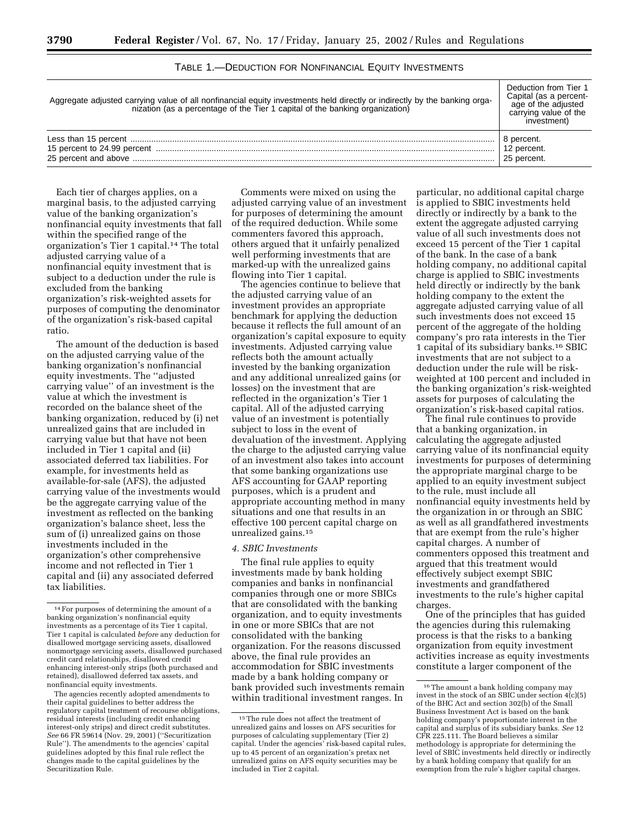| TABLE 1.- DEDUCTION FOR NONFINANCIAL EQUITY INVESTMENTS |
|---------------------------------------------------------|
|---------------------------------------------------------|

| Aggregate adjusted carrying value of all nonfinancial equity investments held directly or indirectly by the banking orga-<br>nization (as a percentage of the Tier 1 capital of the banking organization) | Deduction from Tier 1<br>Capital (as a percent-<br>age of the adjusted<br>carrying value of the<br>investment) |
|-----------------------------------------------------------------------------------------------------------------------------------------------------------------------------------------------------------|----------------------------------------------------------------------------------------------------------------|
|                                                                                                                                                                                                           | 8 percent.                                                                                                     |
|                                                                                                                                                                                                           | 12 percent.                                                                                                    |
|                                                                                                                                                                                                           | 25 percent.                                                                                                    |

Each tier of charges applies, on a marginal basis, to the adjusted carrying value of the banking organization's nonfinancial equity investments that fall within the specified range of the organization's Tier 1 capital.14 The total adjusted carrying value of a nonfinancial equity investment that is subject to a deduction under the rule is excluded from the banking organization's risk-weighted assets for purposes of computing the denominator of the organization's risk-based capital ratio.

The amount of the deduction is based on the adjusted carrying value of the banking organization's nonfinancial equity investments. The ''adjusted carrying value'' of an investment is the value at which the investment is recorded on the balance sheet of the banking organization, reduced by (i) net unrealized gains that are included in carrying value but that have not been included in Tier 1 capital and (ii) associated deferred tax liabilities. For example, for investments held as available-for-sale (AFS), the adjusted carrying value of the investments would be the aggregate carrying value of the investment as reflected on the banking organization's balance sheet, less the sum of (i) unrealized gains on those investments included in the organization's other comprehensive income and not reflected in Tier 1 capital and (ii) any associated deferred tax liabilities.

The agencies recently adopted amendments to their capital guidelines to better address the regulatory capital treatment of recourse obligations, residual interests (including credit enhancing interest-only strips) and direct credit substitutes. *See* 66 FR 59614 (Nov. 29, 2001) (''Securitization Rule''). The amendments to the agencies' capital guidelines adopted by this final rule reflect the changes made to the capital guidelines by the Securitization Rule.

Comments were mixed on using the adjusted carrying value of an investment for purposes of determining the amount of the required deduction. While some commenters favored this approach, others argued that it unfairly penalized well performing investments that are marked-up with the unrealized gains flowing into Tier 1 capital.

The agencies continue to believe that the adjusted carrying value of an investment provides an appropriate benchmark for applying the deduction because it reflects the full amount of an organization's capital exposure to equity investments. Adjusted carrying value reflects both the amount actually invested by the banking organization and any additional unrealized gains (or losses) on the investment that are reflected in the organization's Tier 1 capital. All of the adjusted carrying value of an investment is potentially subject to loss in the event of devaluation of the investment. Applying the charge to the adjusted carrying value of an investment also takes into account that some banking organizations use AFS accounting for GAAP reporting purposes, which is a prudent and appropriate accounting method in many situations and one that results in an effective 100 percent capital charge on unrealized gains.15

#### *4. SBIC Investments*

The final rule applies to equity investments made by bank holding companies and banks in nonfinancial companies through one or more SBICs that are consolidated with the banking organization, and to equity investments in one or more SBICs that are not consolidated with the banking organization. For the reasons discussed above, the final rule provides an accommodation for SBIC investments made by a bank holding company or bank provided such investments remain within traditional investment ranges. In

particular, no additional capital charge is applied to SBIC investments held directly or indirectly by a bank to the extent the aggregate adjusted carrying value of all such investments does not exceed 15 percent of the Tier 1 capital of the bank. In the case of a bank holding company, no additional capital charge is applied to SBIC investments held directly or indirectly by the bank holding company to the extent the aggregate adjusted carrying value of all such investments does not exceed 15 percent of the aggregate of the holding company's pro rata interests in the Tier 1 capital of its subsidiary banks.16 SBIC investments that are not subject to a deduction under the rule will be riskweighted at 100 percent and included in the banking organization's risk-weighted assets for purposes of calculating the organization's risk-based capital ratios.

The final rule continues to provide that a banking organization, in calculating the aggregate adjusted carrying value of its nonfinancial equity investments for purposes of determining the appropriate marginal charge to be applied to an equity investment subject to the rule, must include all nonfinancial equity investments held by the organization in or through an SBIC as well as all grandfathered investments that are exempt from the rule's higher capital charges. A number of commenters opposed this treatment and argued that this treatment would effectively subject exempt SBIC investments and grandfathered investments to the rule's higher capital charges.

One of the principles that has guided the agencies during this rulemaking process is that the risks to a banking organization from equity investment activities increase as equity investments constitute a larger component of the

<sup>14</sup>For purposes of determining the amount of a banking organization's nonfinancial equity investments as a percentage of its Tier 1 capital, Tier 1 capital is calculated *before* any deduction for disallowed mortgage servicing assets, disallowed nonmortgage servicing assets, disallowed purchased credit card relationships, disallowed credit enhancing interest-only strips (both purchased and retained), disallowed deferred tax assets, and nonfinancial equity investments.

 $^{\rm 15}$  The rule does not affect the treatment of unrealized gains and losses on AFS securities for purposes of calculating supplementary (Tier 2) capital. Under the agencies' risk-based capital rules, up to 45 percent of an organization's pretax net unrealized gains on AFS equity securities may be included in Tier 2 capital.

<sup>16</sup>The amount a bank holding company may invest in the stock of an SBIC under section  $4(c)(5)$ of the BHC Act and section 302(b) of the Small Business Investment Act is based on the bank holding company's proportionate interest in the capital and surplus of its subsidiary banks. *See* 12 CFR 225.111. The Board believes a similar methodology is appropriate for determining the level of SBIC investments held directly or indirectly by a bank holding company that qualify for an exemption from the rule's higher capital charges.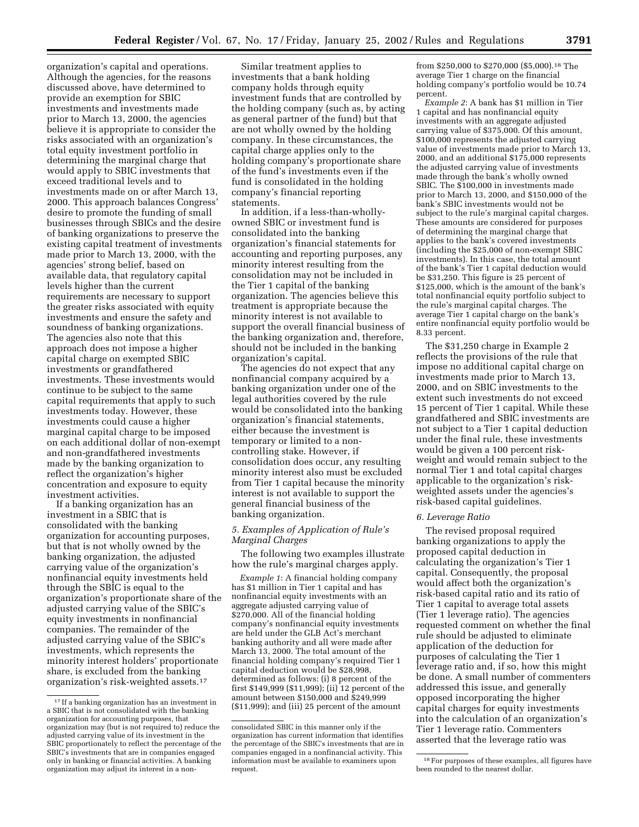organization's capital and operations. Although the agencies, for the reasons discussed above, have determined to provide an exemption for SBIC investments and investments made prior to March 13, 2000, the agencies believe it is appropriate to consider the risks associated with an organization's total equity investment portfolio in determining the marginal charge that would apply to SBIC investments that exceed traditional levels and to investments made on or after March 13, 2000. This approach balances Congress' desire to promote the funding of small businesses through SBICs and the desire of banking organizations to preserve the existing capital treatment of investments made prior to March 13, 2000, with the agencies' strong belief, based on available data, that regulatory capital levels higher than the current requirements are necessary to support the greater risks associated with equity investments and ensure the safety and soundness of banking organizations. The agencies also note that this approach does not impose a higher capital charge on exempted SBIC investments or grandfathered investments. These investments would continue to be subject to the same capital requirements that apply to such investments today. However, these investments could cause a higher marginal capital charge to be imposed on each additional dollar of non-exempt and non-grandfathered investments made by the banking organization to reflect the organization's higher concentration and exposure to equity investment activities.

If a banking organization has an investment in a SBIC that is consolidated with the banking organization for accounting purposes, but that is not wholly owned by the banking organization, the adjusted carrying value of the organization's nonfinancial equity investments held through the SBIC is equal to the organization's proportionate share of the adjusted carrying value of the SBIC's equity investments in nonfinancial companies. The remainder of the adjusted carrying value of the SBIC's investments, which represents the minority interest holders' proportionate share, is excluded from the banking organization's risk-weighted assets.17

Similar treatment applies to investments that a bank holding company holds through equity investment funds that are controlled by the holding company (such as, by acting as general partner of the fund) but that are not wholly owned by the holding company. In these circumstances, the capital charge applies only to the holding company's proportionate share of the fund's investments even if the fund is consolidated in the holding company's financial reporting statements.

In addition, if a less-than-whollyowned SBIC or investment fund is consolidated into the banking organization's financial statements for accounting and reporting purposes, any minority interest resulting from the consolidation may not be included in the Tier 1 capital of the banking organization. The agencies believe this treatment is appropriate because the minority interest is not available to support the overall financial business of the banking organization and, therefore, should not be included in the banking organization's capital.

The agencies do not expect that any nonfinancial company acquired by a banking organization under one of the legal authorities covered by the rule would be consolidated into the banking organization's financial statements, either because the investment is temporary or limited to a noncontrolling stake. However, if consolidation does occur, any resulting minority interest also must be excluded from Tier 1 capital because the minority interest is not available to support the general financial business of the banking organization.

## *5. Examples of Application of Rule's Marginal Charges*

The following two examples illustrate how the rule's marginal charges apply.

*Example 1*: A financial holding company has \$1 million in Tier 1 capital and has nonfinancial equity investments with an aggregate adjusted carrying value of \$270,000. All of the financial holding company's nonfinancial equity investments are held under the GLB Act's merchant banking authority and all were made after March 13, 2000. The total amount of the financial holding company's required Tier 1 capital deduction would be \$28,998, determined as follows: (i) 8 percent of the first \$149,999 (\$11,999); (ii) 12 percent of the amount between \$150,000 and \$249,999 (\$11,999); and (iii) 25 percent of the amount

from \$250,000 to \$270,000 (\$5,000).18 The average Tier 1 charge on the financial holding company's portfolio would be 10.74 percent.

*Example 2*: A bank has \$1 million in Tier 1 capital and has nonfinancial equity investments with an aggregate adjusted carrying value of \$375,000. Of this amount, \$100,000 represents the adjusted carrying value of investments made prior to March 13, 2000, and an additional \$175,000 represents the adjusted carrying value of investments made through the bank's wholly owned SBIC. The \$100,000 in investments made prior to March 13, 2000, and \$150,000 of the bank's SBIC investments would not be subject to the rule's marginal capital charges. These amounts are considered for purposes of determining the marginal charge that applies to the bank's covered investments (including the \$25,000 of non-exempt SBIC investments). In this case, the total amount of the bank's Tier 1 capital deduction would be \$31,250. This figure is 25 percent of \$125,000, which is the amount of the bank's total nonfinancial equity portfolio subject to the rule's marginal capital charges. The average Tier 1 capital charge on the bank's entire nonfinancial equity portfolio would be 8.33 percent.

The \$31,250 charge in Example 2 reflects the provisions of the rule that impose no additional capital charge on investments made prior to March 13, 2000, and on SBIC investments to the extent such investments do not exceed 15 percent of Tier 1 capital. While these grandfathered and SBIC investments are not subject to a Tier 1 capital deduction under the final rule, these investments would be given a 100 percent riskweight and would remain subject to the normal Tier 1 and total capital charges applicable to the organization's riskweighted assets under the agencies's risk-based capital guidelines.

#### *6. Leverage Ratio*

The revised proposal required banking organizations to apply the proposed capital deduction in calculating the organization's Tier 1 capital. Consequently, the proposal would affect both the organization's risk-based capital ratio and its ratio of Tier 1 capital to average total assets (Tier 1 leverage ratio). The agencies requested comment on whether the final rule should be adjusted to eliminate application of the deduction for purposes of calculating the Tier 1 leverage ratio and, if so, how this might be done. A small number of commenters addressed this issue, and generally opposed incorporating the higher capital charges for equity investments into the calculation of an organization's Tier 1 leverage ratio. Commenters asserted that the leverage ratio was

<sup>17</sup> If a banking organization has an investment in a SBIC that is not consolidated with the banking organization for accounting purposes, that organization may (but is not required to) reduce the adjusted carrying value of its investment in the SBIC proportionately to reflect the percentage of the SBIC's investments that are in companies engaged only in banking or financial activities. A banking organization may adjust its interest in a non-

consolidated SBIC in this manner only if the organization has current information that identifies the percentage of the SBIC's investments that are in companies engaged in a nonfinancial activity. This information must be available to examiners upon request.

<sup>18</sup>For purposes of these examples, all figures have been rounded to the nearest dollar.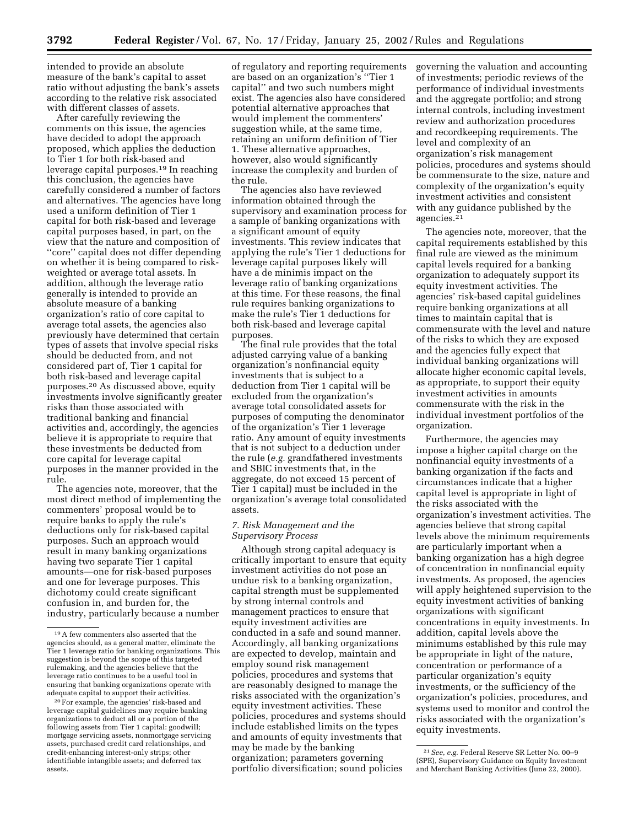intended to provide an absolute measure of the bank's capital to asset ratio without adjusting the bank's assets according to the relative risk associated with different classes of assets.

After carefully reviewing the comments on this issue, the agencies have decided to adopt the approach proposed, which applies the deduction to Tier 1 for both risk-based and leverage capital purposes.19 In reaching this conclusion, the agencies have carefully considered a number of factors and alternatives. The agencies have long used a uniform definition of Tier 1 capital for both risk-based and leverage capital purposes based, in part, on the view that the nature and composition of ''core'' capital does not differ depending on whether it is being compared to riskweighted or average total assets. In addition, although the leverage ratio generally is intended to provide an absolute measure of a banking organization's ratio of core capital to average total assets, the agencies also previously have determined that certain types of assets that involve special risks should be deducted from, and not considered part of, Tier 1 capital for both risk-based and leverage capital purposes.20 As discussed above, equity investments involve significantly greater risks than those associated with traditional banking and financial activities and, accordingly, the agencies believe it is appropriate to require that these investments be deducted from core capital for leverage capital purposes in the manner provided in the rule.

The agencies note, moreover, that the most direct method of implementing the commenters' proposal would be to require banks to apply the rule's deductions only for risk-based capital purposes. Such an approach would result in many banking organizations having two separate Tier 1 capital amounts—one for risk-based purposes and one for leverage purposes. This dichotomy could create significant confusion in, and burden for, the industry, particularly because a number

of regulatory and reporting requirements are based on an organization's ''Tier 1 capital'' and two such numbers might exist. The agencies also have considered potential alternative approaches that would implement the commenters' suggestion while, at the same time, retaining an uniform definition of Tier 1. These alternative approaches, however, also would significantly increase the complexity and burden of the rule.

The agencies also have reviewed information obtained through the supervisory and examination process for a sample of banking organizations with a significant amount of equity investments. This review indicates that applying the rule's Tier 1 deductions for leverage capital purposes likely will have a de minimis impact on the leverage ratio of banking organizations at this time. For these reasons, the final rule requires banking organizations to make the rule's Tier 1 deductions for both risk-based and leverage capital purposes.

The final rule provides that the total adjusted carrying value of a banking organization's nonfinancial equity investments that is subject to a deduction from Tier 1 capital will be excluded from the organization's average total consolidated assets for purposes of computing the denominator of the organization's Tier 1 leverage ratio. Any amount of equity investments that is not subject to a deduction under the rule (*e.g.* grandfathered investments and SBIC investments that, in the aggregate, do not exceed 15 percent of Tier 1 capital) must be included in the organization's average total consolidated assets.

#### *7. Risk Management and the Supervisory Process*

Although strong capital adequacy is critically important to ensure that equity investment activities do not pose an undue risk to a banking organization, capital strength must be supplemented by strong internal controls and management practices to ensure that equity investment activities are conducted in a safe and sound manner. Accordingly, all banking organizations are expected to develop, maintain and employ sound risk management policies, procedures and systems that are reasonably designed to manage the risks associated with the organization's equity investment activities. These policies, procedures and systems should include established limits on the types and amounts of equity investments that may be made by the banking organization; parameters governing portfolio diversification; sound policies

governing the valuation and accounting of investments; periodic reviews of the performance of individual investments and the aggregate portfolio; and strong internal controls, including investment review and authorization procedures and recordkeeping requirements. The level and complexity of an organization's risk management policies, procedures and systems should be commensurate to the size, nature and complexity of the organization's equity investment activities and consistent with any guidance published by the agencies.21

The agencies note, moreover, that the capital requirements established by this final rule are viewed as the minimum capital levels required for a banking organization to adequately support its equity investment activities. The agencies' risk-based capital guidelines require banking organizations at all times to maintain capital that is commensurate with the level and nature of the risks to which they are exposed and the agencies fully expect that individual banking organizations will allocate higher economic capital levels, as appropriate, to support their equity investment activities in amounts commensurate with the risk in the individual investment portfolios of the organization.

Furthermore, the agencies may impose a higher capital charge on the nonfinancial equity investments of a banking organization if the facts and circumstances indicate that a higher capital level is appropriate in light of the risks associated with the organization's investment activities. The agencies believe that strong capital levels above the minimum requirements are particularly important when a banking organization has a high degree of concentration in nonfinancial equity investments. As proposed, the agencies will apply heightened supervision to the equity investment activities of banking organizations with significant concentrations in equity investments. In addition, capital levels above the minimums established by this rule may be appropriate in light of the nature, concentration or performance of a particular organization's equity investments, or the sufficiency of the organization's policies, procedures, and systems used to monitor and control the risks associated with the organization's equity investments.

<sup>19</sup>A few commenters also asserted that the agencies should, as a general matter, eliminate the Tier 1 leverage ratio for banking organizations. This suggestion is beyond the scope of this targeted rulemaking, and the agencies believe that the leverage ratio continues to be a useful tool in ensuring that banking organizations operate with adequate capital to support their activities.

<sup>20</sup>For example, the agencies' risk-based and leverage capital guidelines may require banking organizations to deduct all or a portion of the following assets from Tier 1 capital: goodwill; mortgage servicing assets, nonmortgage servicing assets, purchased credit card relationships, and credit-enhancing interest-only strips; other identifiable intangible assets; and deferred tax assets.

<sup>21</sup>*See*, *e.g.* Federal Reserve SR Letter No. 00–9 (SPE), Supervisory Guidance on Equity Investment and Merchant Banking Activities (June 22, 2000).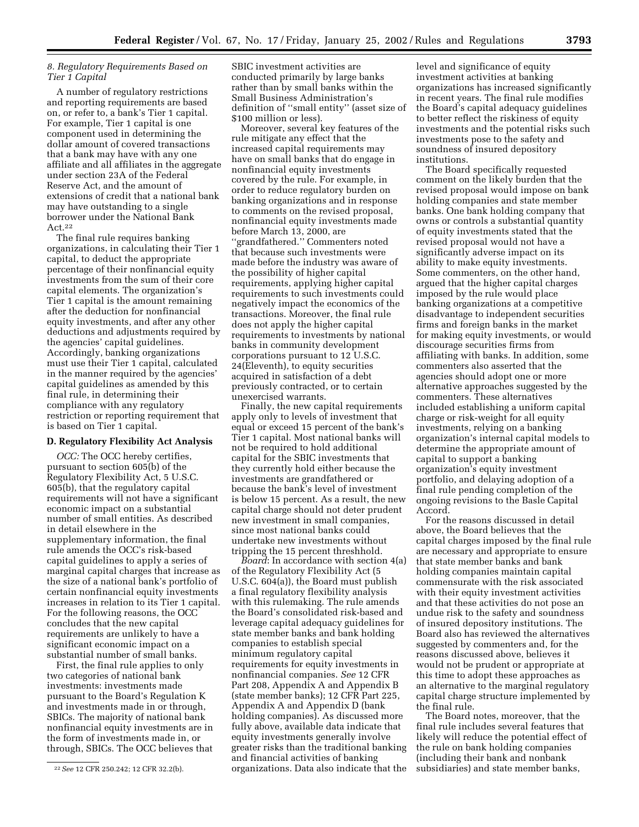## *8. Regulatory Requirements Based on Tier 1 Capital*

A number of regulatory restrictions and reporting requirements are based on, or refer to, a bank's Tier 1 capital. For example, Tier 1 capital is one component used in determining the dollar amount of covered transactions that a bank may have with any one affiliate and all affiliates in the aggregate under section 23A of the Federal Reserve Act, and the amount of extensions of credit that a national bank may have outstanding to a single borrower under the National Bank Act.22

The final rule requires banking organizations, in calculating their Tier 1 capital, to deduct the appropriate percentage of their nonfinancial equity investments from the sum of their core capital elements. The organization's Tier 1 capital is the amount remaining after the deduction for nonfinancial equity investments, and after any other deductions and adjustments required by the agencies' capital guidelines. Accordingly, banking organizations must use their Tier 1 capital, calculated in the manner required by the agencies' capital guidelines as amended by this final rule, in determining their compliance with any regulatory restriction or reporting requirement that is based on Tier 1 capital.

#### **D. Regulatory Flexibility Act Analysis**

*OCC:* The OCC hereby certifies, pursuant to section 605(b) of the Regulatory Flexibility Act, 5 U.S.C. 605(b), that the regulatory capital requirements will not have a significant economic impact on a substantial number of small entities. As described in detail elsewhere in the supplementary information, the final rule amends the OCC's risk-based capital guidelines to apply a series of marginal capital charges that increase as the size of a national bank's portfolio of certain nonfinancial equity investments increases in relation to its Tier 1 capital. For the following reasons, the OCC concludes that the new capital requirements are unlikely to have a significant economic impact on a substantial number of small banks.

First, the final rule applies to only two categories of national bank investments: investments made pursuant to the Board's Regulation K and investments made in or through, SBICs. The majority of national bank nonfinancial equity investments are in the form of investments made in, or through, SBICs. The OCC believes that

SBIC investment activities are conducted primarily by large banks rather than by small banks within the Small Business Administration's definition of ''small entity'' (asset size of \$100 million or less).

Moreover, several key features of the rule mitigate any effect that the increased capital requirements may have on small banks that do engage in nonfinancial equity investments covered by the rule. For example, in order to reduce regulatory burden on banking organizations and in response to comments on the revised proposal, nonfinancial equity investments made before March 13, 2000, are ''grandfathered.'' Commenters noted that because such investments were made before the industry was aware of the possibility of higher capital requirements, applying higher capital requirements to such investments could negatively impact the economics of the transactions. Moreover, the final rule does not apply the higher capital requirements to investments by national banks in community development corporations pursuant to 12 U.S.C. 24(Eleventh), to equity securities acquired in satisfaction of a debt previously contracted, or to certain unexercised warrants.

Finally, the new capital requirements apply only to levels of investment that equal or exceed 15 percent of the bank's Tier 1 capital. Most national banks will not be required to hold additional capital for the SBIC investments that they currently hold either because the investments are grandfathered or because the bank's level of investment is below 15 percent. As a result, the new capital charge should not deter prudent new investment in small companies, since most national banks could undertake new investments without tripping the 15 percent threshhold.

*Board*: In accordance with section 4(a) of the Regulatory Flexibility Act (5 U.S.C. 604(a)), the Board must publish a final regulatory flexibility analysis with this rulemaking. The rule amends the Board's consolidated risk-based and leverage capital adequacy guidelines for state member banks and bank holding companies to establish special minimum regulatory capital requirements for equity investments in nonfinancial companies. *See* 12 CFR Part 208, Appendix A and Appendix B (state member banks); 12 CFR Part 225, Appendix A and Appendix D (bank holding companies). As discussed more fully above, available data indicate that equity investments generally involve greater risks than the traditional banking and financial activities of banking organizations. Data also indicate that the

level and significance of equity investment activities at banking organizations has increased significantly in recent years. The final rule modifies the Board's capital adequacy guidelines to better reflect the riskiness of equity investments and the potential risks such investments pose to the safety and soundness of insured depository institutions.

The Board specifically requested comment on the likely burden that the revised proposal would impose on bank holding companies and state member banks. One bank holding company that owns or controls a substantial quantity of equity investments stated that the revised proposal would not have a significantly adverse impact on its ability to make equity investments. Some commenters, on the other hand, argued that the higher capital charges imposed by the rule would place banking organizations at a competitive disadvantage to independent securities firms and foreign banks in the market for making equity investments, or would discourage securities firms from affiliating with banks. In addition, some commenters also asserted that the agencies should adopt one or more alternative approaches suggested by the commenters. These alternatives included establishing a uniform capital charge or risk-weight for all equity investments, relying on a banking organization's internal capital models to determine the appropriate amount of capital to support a banking organization's equity investment portfolio, and delaying adoption of a final rule pending completion of the ongoing revisions to the Basle Capital Accord.

For the reasons discussed in detail above, the Board believes that the capital charges imposed by the final rule are necessary and appropriate to ensure that state member banks and bank holding companies maintain capital commensurate with the risk associated with their equity investment activities and that these activities do not pose an undue risk to the safety and soundness of insured depository institutions. The Board also has reviewed the alternatives suggested by commenters and, for the reasons discussed above, believes it would not be prudent or appropriate at this time to adopt these approaches as an alternative to the marginal regulatory capital charge structure implemented by the final rule.

The Board notes, moreover, that the final rule includes several features that likely will reduce the potential effect of the rule on bank holding companies (including their bank and nonbank subsidiaries) and state member banks,

<sup>22</sup>*See* 12 CFR 250.242; 12 CFR 32.2(b).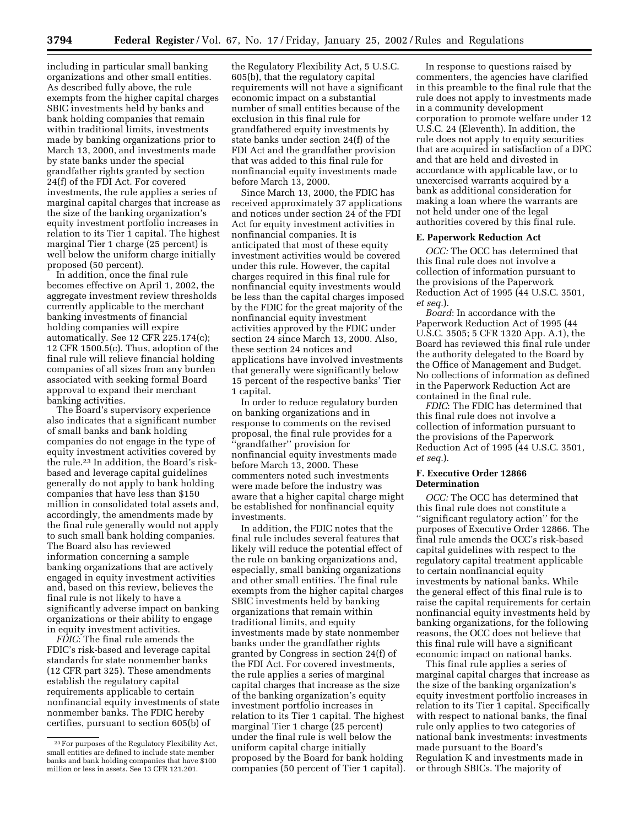including in particular small banking organizations and other small entities. As described fully above, the rule exempts from the higher capital charges SBIC investments held by banks and bank holding companies that remain within traditional limits, investments made by banking organizations prior to March 13, 2000, and investments made by state banks under the special grandfather rights granted by section 24(f) of the FDI Act. For covered investments, the rule applies a series of marginal capital charges that increase as the size of the banking organization's equity investment portfolio increases in relation to its Tier 1 capital. The highest marginal Tier 1 charge (25 percent) is well below the uniform charge initially proposed (50 percent).

In addition, once the final rule becomes effective on April 1, 2002, the aggregate investment review thresholds currently applicable to the merchant banking investments of financial holding companies will expire automatically. See 12 CFR 225.174(c); 12 CFR 1500.5(c). Thus, adoption of the final rule will relieve financial holding companies of all sizes from any burden associated with seeking formal Board approval to expand their merchant banking activities.

The Board's supervisory experience also indicates that a significant number of small banks and bank holding companies do not engage in the type of equity investment activities covered by the rule.23 In addition, the Board's riskbased and leverage capital guidelines generally do not apply to bank holding companies that have less than \$150 million in consolidated total assets and, accordingly, the amendments made by the final rule generally would not apply to such small bank holding companies. The Board also has reviewed information concerning a sample banking organizations that are actively engaged in equity investment activities and, based on this review, believes the final rule is not likely to have a significantly adverse impact on banking organizations or their ability to engage in equity investment activities.

*FDIC*: The final rule amends the FDIC's risk-based and leverage capital standards for state nonmember banks (12 CFR part 325). These amendments establish the regulatory capital requirements applicable to certain nonfinancial equity investments of state nonmember banks. The FDIC hereby certifies, pursuant to section 605(b) of

the Regulatory Flexibility Act, 5 U.S.C. 605(b), that the regulatory capital requirements will not have a significant economic impact on a substantial number of small entities because of the exclusion in this final rule for grandfathered equity investments by state banks under section 24(f) of the FDI Act and the grandfather provision that was added to this final rule for nonfinancial equity investments made before March 13, 2000.

Since March 13, 2000, the FDIC has received approximately 37 applications and notices under section 24 of the FDI Act for equity investment activities in nonfinancial companies. It is anticipated that most of these equity investment activities would be covered under this rule. However, the capital charges required in this final rule for nonfinancial equity investments would be less than the capital charges imposed by the FDIC for the great majority of the nonfinancial equity investment activities approved by the FDIC under section 24 since March 13, 2000. Also, these section 24 notices and applications have involved investments that generally were significantly below 15 percent of the respective banks' Tier 1 capital.

In order to reduce regulatory burden on banking organizations and in response to comments on the revised proposal, the final rule provides for a 'grandfather" provision for nonfinancial equity investments made before March 13, 2000. These commenters noted such investments were made before the industry was aware that a higher capital charge might be established for nonfinancial equity investments.

In addition, the FDIC notes that the final rule includes several features that likely will reduce the potential effect of the rule on banking organizations and, especially, small banking organizations and other small entities. The final rule exempts from the higher capital charges SBIC investments held by banking organizations that remain within traditional limits, and equity investments made by state nonmember banks under the grandfather rights granted by Congress in section 24(f) of the FDI Act. For covered investments, the rule applies a series of marginal capital charges that increase as the size of the banking organization's equity investment portfolio increases in relation to its Tier 1 capital. The highest marginal Tier 1 charge (25 percent) under the final rule is well below the uniform capital charge initially proposed by the Board for bank holding companies (50 percent of Tier 1 capital).

In response to questions raised by commenters, the agencies have clarified in this preamble to the final rule that the rule does not apply to investments made in a community development corporation to promote welfare under 12 U.S.C. 24 (Eleventh). In addition, the rule does not apply to equity securities that are acquired in satisfaction of a DPC and that are held and divested in accordance with applicable law, or to unexercised warrants acquired by a bank as additional consideration for making a loan where the warrants are not held under one of the legal authorities covered by this final rule.

#### **E. Paperwork Reduction Act**

*OCC:* The OCC has determined that this final rule does not involve a collection of information pursuant to the provisions of the Paperwork Reduction Act of 1995 (44 U.S.C. 3501, *et seq.*).

*Board*: In accordance with the Paperwork Reduction Act of 1995 (44 U.S.C. 3505; 5 CFR 1320 App. A.1), the Board has reviewed this final rule under the authority delegated to the Board by the Office of Management and Budget. No collections of information as defined in the Paperwork Reduction Act are contained in the final rule.

*FDIC*: The FDIC has determined that this final rule does not involve a collection of information pursuant to the provisions of the Paperwork Reduction Act of 1995 (44 U.S.C. 3501, *et seq.*).

#### **F. Executive Order 12866 Determination**

*OCC:* The OCC has determined that this final rule does not constitute a ''significant regulatory action'' for the purposes of Executive Order 12866. The final rule amends the OCC's risk-based capital guidelines with respect to the regulatory capital treatment applicable to certain nonfinancial equity investments by national banks. While the general effect of this final rule is to raise the capital requirements for certain nonfinancial equity investments held by banking organizations, for the following reasons, the OCC does not believe that this final rule will have a significant economic impact on national banks.

This final rule applies a series of marginal capital charges that increase as the size of the banking organization's equity investment portfolio increases in relation to its Tier 1 capital. Specifically with respect to national banks, the final rule only applies to two categories of national bank investments: investments made pursuant to the Board's Regulation K and investments made in or through SBICs. The majority of

<sup>23</sup>For purposes of the Regulatory Flexibility Act, small entities are defined to include state member banks and bank holding companies that have \$100 million or less in assets. See 13 CFR 121.201.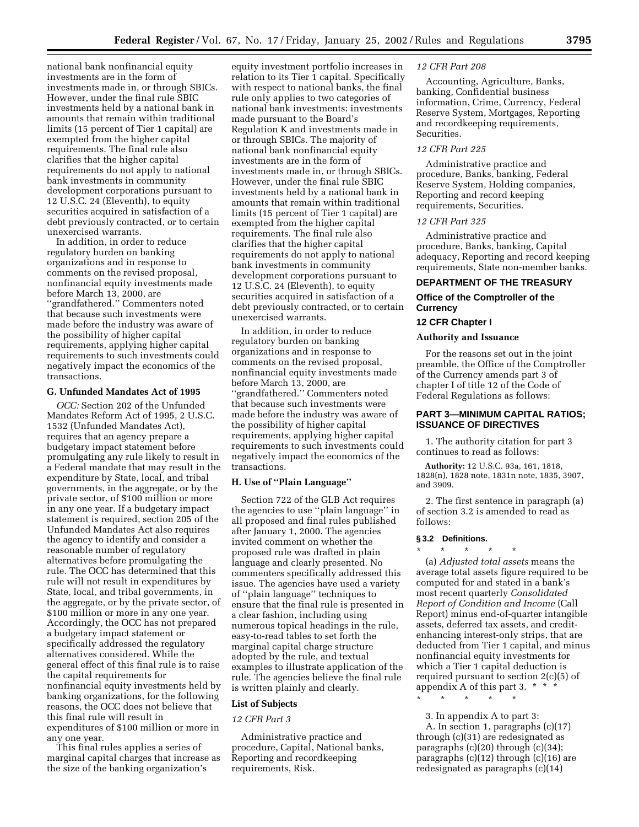national bank nonfinancial equity investments are in the form of investments made in, or through SBICs. However, under the final rule SBIC investments held by a national bank in amounts that remain within traditional limits (15 percent of Tier 1 capital) are exempted from the higher capital requirements. The final rule also clarifies that the higher capital requirements do not apply to national bank investments in community development corporations pursuant to 12 U.S.C. 24 (Eleventh), to equity securities acquired in satisfaction of a debt previously contracted, or to certain unexercised warrants.

In addition, in order to reduce regulatory burden on banking organizations and in response to comments on the revised proposal, nonfinancial equity investments made before March 13, 2000, are ''grandfathered.'' Commenters noted that because such investments were made before the industry was aware of the possibility of higher capital requirements, applying higher capital requirements to such investments could negatively impact the economics of the transactions.

#### **G. Unfunded Mandates Act of 1995**

*OCC:* Section 202 of the Unfunded Mandates Reform Act of 1995, 2 U.S.C. 1532 (Unfunded Mandates Act), requires that an agency prepare a budgetary impact statement before promulgating any rule likely to result in a Federal mandate that may result in the expenditure by State, local, and tribal governments, in the aggregate, or by the private sector, of \$100 million or more in any one year. If a budgetary impact statement is required, section 205 of the Unfunded Mandates Act also requires the agency to identify and consider a reasonable number of regulatory alternatives before promulgating the rule. The OCC has determined that this rule will not result in expenditures by State, local, and tribal governments, in the aggregate, or by the private sector, of \$100 million or more in any one year. Accordingly, the OCC has not prepared a budgetary impact statement or specifically addressed the regulatory alternatives considered. While the general effect of this final rule is to raise the capital requirements for nonfinancial equity investments held by banking organizations, for the following reasons, the OCC does not believe that this final rule will result in expenditures of \$100 million or more in any one year.

This final rules applies a series of marginal capital charges that increase as the size of the banking organization's

equity investment portfolio increases in relation to its Tier 1 capital. Specifically with respect to national banks, the final rule only applies to two categories of national bank investments: investments made pursuant to the Board's Regulation K and investments made in or through SBICs. The majority of national bank nonfinancial equity investments are in the form of investments made in, or through SBICs. However, under the final rule SBIC investments held by a national bank in amounts that remain within traditional limits (15 percent of Tier 1 capital) are exempted from the higher capital requirements. The final rule also clarifies that the higher capital requirements do not apply to national bank investments in community development corporations pursuant to 12 U.S.C. 24 (Eleventh), to equity securities acquired in satisfaction of a debt previously contracted, or to certain unexercised warrants.

In addition, in order to reduce regulatory burden on banking organizations and in response to comments on the revised proposal, nonfinancial equity investments made before March 13, 2000, are ''grandfathered.'' Commenters noted that because such investments were made before the industry was aware of the possibility of higher capital requirements, applying higher capital requirements to such investments could negatively impact the economics of the transactions.

## **H. Use of ''Plain Language''**

Section 722 of the GLB Act requires the agencies to use ''plain language'' in all proposed and final rules published after January 1, 2000. The agencies invited comment on whether the proposed rule was drafted in plain language and clearly presented. No commenters specifically addressed this issue. The agencies have used a variety of ''plain language'' techniques to ensure that the final rule is presented in a clear fashion, including using numerous topical headings in the rule, easy-to-read tables to set forth the marginal capital charge structure adopted by the rule, and textual examples to illustrate application of the rule. The agencies believe the final rule is written plainly and clearly.

#### **List of Subjects**

## *12 CFR Part 3*

Administrative practice and procedure, Capital, National banks, Reporting and recordkeeping requirements, Risk.

#### *12 CFR Part 208*

Accounting, Agriculture, Banks, banking, Confidential business information, Crime, Currency, Federal Reserve System, Mortgages, Reporting and recordkeeping requirements, Securities.

## *12 CFR Part 225*

Administrative practice and procedure, Banks, banking, Federal Reserve System, Holding companies, Reporting and record keeping requirements, Securities.

### *12 CFR Part 325*

Administrative practice and procedure, Banks, banking, Capital adequacy, Reporting and record keeping requirements, State non-member banks.

#### **DEPARTMENT OF THE TREASURY**

### **Office of the Comptroller of the Currency**

#### **12 CFR Chapter I**

#### **Authority and Issuance**

For the reasons set out in the joint preamble, the Office of the Comptroller of the Currency amends part 3 of chapter I of title 12 of the Code of Federal Regulations as follows:

## **PART 3—MINIMUM CAPITAL RATIOS; ISSUANCE OF DIRECTIVES**

1. The authority citation for part 3 continues to read as follows:

**Authority:** 12 U.S.C. 93a, 161, 1818, 1828(n), 1828 note, 1831n note, 1835, 3907, and 3909.

2. The first sentence in paragraph (a) of section 3.2 is amended to read as follows:

#### **§ 3.2 Definitions.**

\* \* \* \* \* (a) *Adjusted total assets* means the average total assets figure required to be computed for and stated in a bank's most recent quarterly *Consolidated Report of Condition and Income* (Call Report) minus end-of-quarter intangible assets, deferred tax assets, and creditenhancing interest-only strips, that are deducted from Tier 1 capital, and minus nonfinancial equity investments for which a Tier 1 capital deduction is required pursuant to section 2(c)(5) of appendix A of this part 3.  $*$ 

\* \* \* \* \*

3. In appendix A to part 3: A. In section 1, paragraphs (c)(17) through (c)(31) are redesignated as paragraphs (c)(20) through (c)(34); paragraphs (c)(12) through (c)(16) are redesignated as paragraphs (c)(14)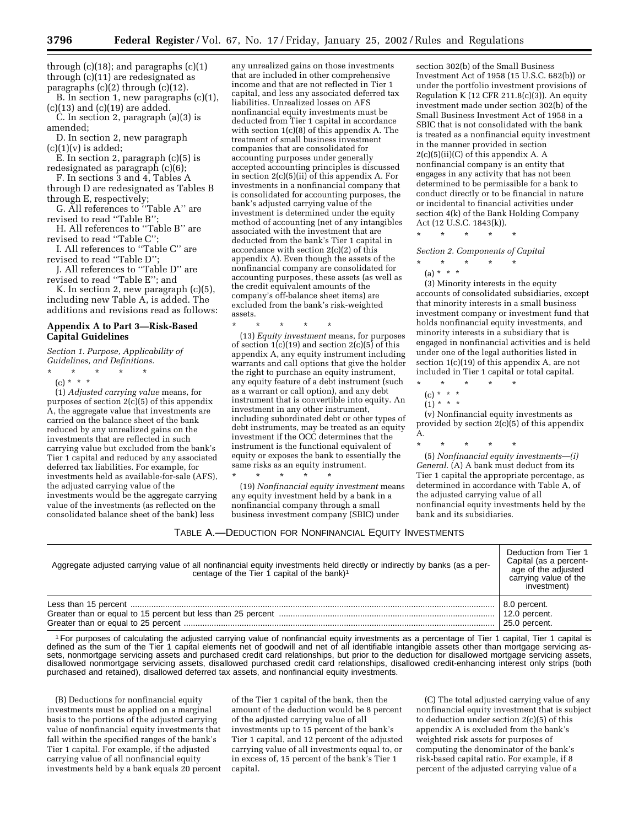through  $(c)(18)$ ; and paragraphs  $(c)(1)$ through (c)(11) are redesignated as paragraphs (c)(2) through (c)(12).

B. In section 1, new paragraphs (c)(1),  $(c)(13)$  and  $(c)(19)$  are added.

C. In section 2, paragraph (a)(3) is amended;

D. In section 2, new paragraph  $(c)(1)(v)$  is added;

E. In section 2, paragraph (c)(5) is redesignated as paragraph (c)(6);

F. In sections 3 and 4, Tables A through D are redesignated as Tables B through E, respectively;

G. All references to ''Table A'' are revised to read ''Table B'';

H. All references to ''Table B'' are revised to read ''Table C'';

I. All references to ''Table C'' are revised to read ''Table D'';

J. All references to ''Table D'' are revised to read ''Table E''; and

K. In section 2, new paragraph (c)(5), including new Table A, is added. The additions and revisions read as follows:

## **Appendix A to Part 3—Risk-Based Capital Guidelines**

*Section 1. Purpose, Applicability of Guidelines, and Definitions.*

- \* \* \* \* \*
	- (c) \* \* \*

(1) *Adjusted carrying value* means, for purposes of section 2(c)(5) of this appendix A, the aggregate value that investments are carried on the balance sheet of the bank reduced by any unrealized gains on the investments that are reflected in such carrying value but excluded from the bank's Tier 1 capital and reduced by any associated deferred tax liabilities. For example, for investments held as available-for-sale (AFS), the adjusted carrying value of the investments would be the aggregate carrying value of the investments (as reflected on the consolidated balance sheet of the bank) less

any unrealized gains on those investments that are included in other comprehensive income and that are not reflected in Tier 1 capital, and less any associated deferred tax liabilities. Unrealized losses on AFS nonfinancial equity investments must be deducted from Tier 1 capital in accordance with section 1(c)(8) of this appendix A. The treatment of small business investment companies that are consolidated for accounting purposes under generally accepted accounting principles is discussed in section 2(c)(5)(ii) of this appendix A. For investments in a nonfinancial company that is consolidated for accounting purposes, the bank's adjusted carrying value of the investment is determined under the equity method of accounting (net of any intangibles associated with the investment that are deducted from the bank's Tier 1 capital in accordance with section 2(c)(2) of this appendix A). Even though the assets of the nonfinancial company are consolidated for accounting purposes, these assets (as well as the credit equivalent amounts of the company's off-balance sheet items) are excluded from the bank's risk-weighted assets.

\* \* \* \* \* (13) *Equity investment* means, for purposes of section  $1(c)(19)$  and section  $2(c)(5)$  of this appendix A, any equity instrument including warrants and call options that give the holder the right to purchase an equity instrument, any equity feature of a debt instrument (such as a warrant or call option), and any debt instrument that is convertible into equity. An investment in any other instrument, including subordinated debt or other types of debt instruments, may be treated as an equity investment if the OCC determines that the instrument is the functional equivalent of equity or exposes the bank to essentially the same risks as an equity instrument.

\* \* \* \* \* (19) *Nonfinancial equity investment* means any equity investment held by a bank in a nonfinancial company through a small business investment company (SBIC) under

section 302(b) of the Small Business Investment Act of 1958 (15 U.S.C. 682(b)) or under the portfolio investment provisions of Regulation K (12 CFR 211.8(c)(3)). An equity investment made under section 302(b) of the Small Business Investment Act of 1958 in a SBIC that is not consolidated with the bank is treated as a nonfinancial equity investment in the manner provided in section  $2(c)(5)(ii)(C)$  of this appendix A. A nonfinancial company is an entity that engages in any activity that has not been determined to be permissible for a bank to conduct directly or to be financial in nature or incidental to financial activities under section 4(k) of the Bank Holding Company Act (12 U.S.C. 1843(k)).

\* \* \* \* \*

*Section 2. Components of Capital*

- \* \* \* \* \*
- $(a) * * * *$

(3) Minority interests in the equity accounts of consolidated subsidiaries, except that minority interests in a small business investment company or investment fund that holds nonfinancial equity investments, and minority interests in a subsidiary that is engaged in nonfinancial activities and is held under one of the legal authorities listed in section 1(c)(19) of this appendix A, are not included in Tier 1 capital or total capital.

- \* \* \* \* \*
- (c) \* \* \*  $(1) * * * *$
- 

(v) Nonfinancial equity investments as provided by section  $2(c)(5)$  of this appendix A.

\* \* \* \* \*

(5) *Nonfinancial equity investments—(i) General.* (A) A bank must deduct from its Tier 1 capital the appropriate percentage, as determined in accordance with Table A, of the adjusted carrying value of all nonfinancial equity investments held by the bank and its subsidiaries.

### TABLE A.—DEDUCTION FOR NONFINANCIAL EQUITY INVESTMENTS

| Aggregate adjusted carrying value of all nonfinancial equity investments held directly or indirectly by banks (as a per-<br>centage of the Tier 1 capital of the bank) <sup>1</sup> | Deduction from Tier 1<br>Capital (as a percent-<br>age of the adjusted<br>carrying value of the<br>investment) |
|-------------------------------------------------------------------------------------------------------------------------------------------------------------------------------------|----------------------------------------------------------------------------------------------------------------|
|                                                                                                                                                                                     | 8.0 percent.<br>25.0 percent.                                                                                  |

1For purposes of calculating the adjusted carrying value of nonfinancial equity investments as a percentage of Tier 1 capital, Tier 1 capital is defined as the sum of the Tier 1 capital elements net of goodwill and net of all identifiable intangible assets other than mortgage servicing assets, nonmortgage servicing assets and purchased credit card relationships, but prior to the deduction for disallowed mortgage servicing assets, disallowed nonmortgage servicing assets, disallowed purchased credit card relationships, disallowed credit-enhancing interest only strips (both purchased and retained), disallowed deferred tax assets, and nonfinancial equity investments.

(B) Deductions for nonfinancial equity investments must be applied on a marginal basis to the portions of the adjusted carrying value of nonfinancial equity investments that fall within the specified ranges of the bank's Tier 1 capital. For example, if the adjusted carrying value of all nonfinancial equity investments held by a bank equals 20 percent

of the Tier 1 capital of the bank, then the amount of the deduction would be 8 percent of the adjusted carrying value of all investments up to 15 percent of the bank's Tier 1 capital, and 12 percent of the adjusted carrying value of all investments equal to, or in excess of, 15 percent of the bank's Tier 1 capital.

(C) The total adjusted carrying value of any nonfinancial equity investment that is subject to deduction under section 2(c)(5) of this appendix A is excluded from the bank's weighted risk assets for purposes of computing the denominator of the bank's risk-based capital ratio. For example, if 8 percent of the adjusted carrying value of a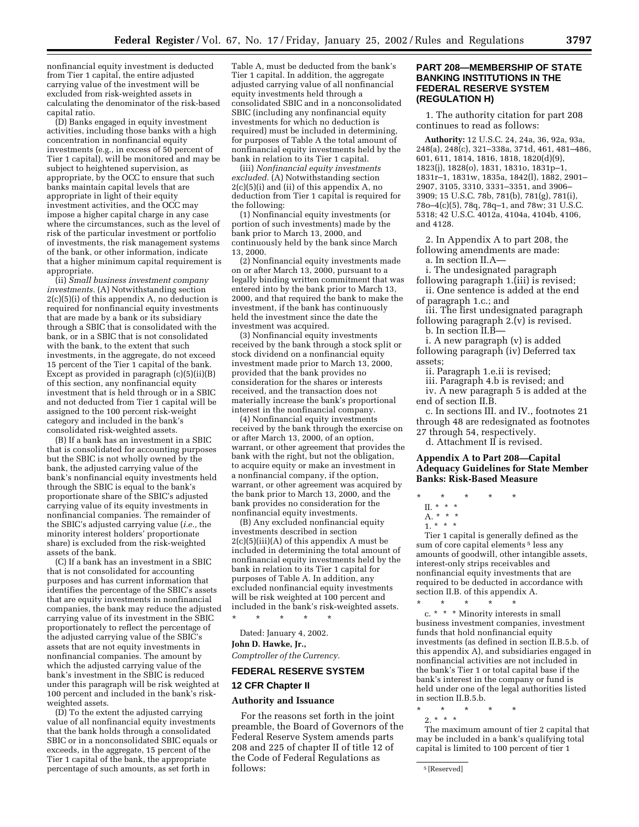nonfinancial equity investment is deducted from Tier 1 capital, the entire adjusted carrying value of the investment will be excluded from risk-weighted assets in calculating the denominator of the risk-based capital ratio.

(D) Banks engaged in equity investment activities, including those banks with a high concentration in nonfinancial equity investments (e.g., in excess of 50 percent of Tier 1 capital), will be monitored and may be subject to heightened supervision, as appropriate, by the OCC to ensure that such banks maintain capital levels that are appropriate in light of their equity investment activities, and the OCC may impose a higher capital charge in any case where the circumstances, such as the level of risk of the particular investment or portfolio of investments, the risk management systems of the bank, or other information, indicate that a higher minimum capital requirement is appropriate.

(ii) *Small business investment company investments.* (A) Notwithstanding section 2(c)(5)(i) of this appendix A, no deduction is required for nonfinancial equity investments that are made by a bank or its subsidiary through a SBIC that is consolidated with the bank, or in a SBIC that is not consolidated with the bank, to the extent that such investments, in the aggregate, do not exceed 15 percent of the Tier 1 capital of the bank. Except as provided in paragraph (c)(5)(ii)(B) of this section, any nonfinancial equity investment that is held through or in a SBIC and not deducted from Tier 1 capital will be assigned to the 100 percent risk-weight category and included in the bank's consolidated risk-weighted assets.

(B) If a bank has an investment in a SBIC that is consolidated for accounting purposes but the SBIC is not wholly owned by the bank, the adjusted carrying value of the bank's nonfinancial equity investments held through the SBIC is equal to the bank's proportionate share of the SBIC's adjusted carrying value of its equity investments in nonfinancial companies. The remainder of the SBIC's adjusted carrying value (*i.e.,* the minority interest holders' proportionate share) is excluded from the risk-weighted assets of the bank.

(C) If a bank has an investment in a SBIC that is not consolidated for accounting purposes and has current information that identifies the percentage of the SBIC's assets that are equity investments in nonfinancial companies, the bank may reduce the adjusted carrying value of its investment in the SBIC proportionately to reflect the percentage of the adjusted carrying value of the SBIC's assets that are not equity investments in nonfinancial companies. The amount by which the adjusted carrying value of the bank's investment in the SBIC is reduced under this paragraph will be risk weighted at 100 percent and included in the bank's riskweighted assets.

(D) To the extent the adjusted carrying value of all nonfinancial equity investments that the bank holds through a consolidated SBIC or in a nonconsolidated SBIC equals or exceeds, in the aggregate, 15 percent of the Tier 1 capital of the bank, the appropriate percentage of such amounts, as set forth in

Table A, must be deducted from the bank's Tier 1 capital. In addition, the aggregate adjusted carrying value of all nonfinancial equity investments held through a consolidated SBIC and in a nonconsolidated SBIC (including any nonfinancial equity investments for which no deduction is required) must be included in determining, for purposes of Table A the total amount of nonfinancial equity investments held by the bank in relation to its Tier 1 capital.

(iii) *Nonfinancial equity investments excluded.* (A) Notwithstanding section 2(c)(5)(i) and (ii) of this appendix A, no deduction from Tier 1 capital is required for the following:

(1) Nonfinancial equity investments (or portion of such investments) made by the bank prior to March 13, 2000, and continuously held by the bank since March 13, 2000.

(2) Nonfinancial equity investments made on or after March 13, 2000, pursuant to a legally binding written commitment that was entered into by the bank prior to March 13, 2000, and that required the bank to make the investment, if the bank has continuously held the investment since the date the investment was acquired.

(3) Nonfinancial equity investments received by the bank through a stock split or stock dividend on a nonfinancial equity investment made prior to March 13, 2000, provided that the bank provides no consideration for the shares or interests received, and the transaction does not materially increase the bank's proportional interest in the nonfinancial company.

(4) Nonfinancial equity investments received by the bank through the exercise on or after March 13, 2000, of an option, warrant, or other agreement that provides the bank with the right, but not the obligation, to acquire equity or make an investment in a nonfinancial company, if the option, warrant, or other agreement was acquired by the bank prior to March 13, 2000, and the bank provides no consideration for the nonfinancial equity investments.

(B) Any excluded nonfinancial equity investments described in section  $2(c)(5)(iii)(A)$  of this appendix A must be included in determining the total amount of nonfinancial equity investments held by the bank in relation to its Tier 1 capital for purposes of Table A. In addition, any excluded nonfinancial equity investments will be risk weighted at 100 percent and included in the bank's risk-weighted assets.

\* \* \* \* \*

Dated: January 4, 2002.

**John D. Hawke, Jr.,** *Comptroller of the Currency.*

#### **FEDERAL RESERVE SYSTEM**

### **12 CFR Chapter II**

#### **Authority and Issuance**

For the reasons set forth in the joint preamble, the Board of Governors of the Federal Reserve System amends parts 208 and 225 of chapter II of title 12 of the Code of Federal Regulations as follows:

## **PART 208—MEMBERSHIP OF STATE BANKING INSTITUTIONS IN THE FEDERAL RESERVE SYSTEM (REGULATION H)**

1. The authority citation for part 208 continues to read as follows:

**Authority:** 12 U.S.C. 24, 24a, 36, 92a, 93a, 248(a), 248(c), 321–338a, 371d, 461, 481–486, 601, 611, 1814, 1816, 1818, 1820(d)(9), 1823(j), 1828(o), 1831, 1831o, 1831p–1, 1831r–1, 1831w, 1835a, 1842(l), 1882, 2901– 2907, 3105, 3310, 3331–3351, and 3906– 3909; 15 U.S.C. 78b, 781(b), 781(g), 781(i), 78o–4(c)(5), 78q, 78q–1, and 78w; 31 U.S.C. 5318; 42 U.S.C. 4012a, 4104a, 4104b, 4106, and 4128.

2. In Appendix A to part 208, the following amendments are made: a. In section II.A—

i. The undesignated paragraph

following paragraph 1.(iii) is revised; ii. One sentence is added at the end of paragraph 1.c.; and

iii. The first undesignated paragraph

following paragraph 2.(v) is revised. b. In section II.B—

i. A new paragraph (v) is added following paragraph (iv) Deferred tax assets;

ii. Paragraph 1.e.ii is revised;

iii. Paragraph 4.b is revised; and

iv. A new paragraph 5 is added at the end of section II.B.

c. In sections III. and IV., footnotes 21 through 48 are redesignated as footnotes 27 through 54, respectively.

d. Attachment II is revised.

### **Appendix A to Part 208—Capital Adequacy Guidelines for State Member Banks: Risk-Based Measure**

II. \* \* \*

Tier 1 capital is generally defined as the sum of core capital elements<sup>5</sup> less any amounts of goodwill, other intangible assets, interest-only strips receivables and nonfinancial equity investments that are required to be deducted in accordance with section II.B. of this appendix A.

\* \* \* \* \* c. \* \* \* Minority interests in small business investment companies, investment funds that hold nonfinancial equity investments (as defined in section II.B.5.b. of this appendix A), and subsidiaries engaged in nonfinancial activities are not included in the bank's Tier 1 or total capital base if the bank's interest in the company or fund is held under one of the legal authorities listed in section II.B.5.b.

\* \* \* \* \* 2. \* \* \*

The maximum amount of tier 2 capital that may be included in a bank's qualifying total capital is limited to 100 percent of tier 1

<sup>\* \* \* \* \*</sup>

 $A. * * * *$  $\overline{1.}$  \* \* \*

<sup>5</sup> [Reserved]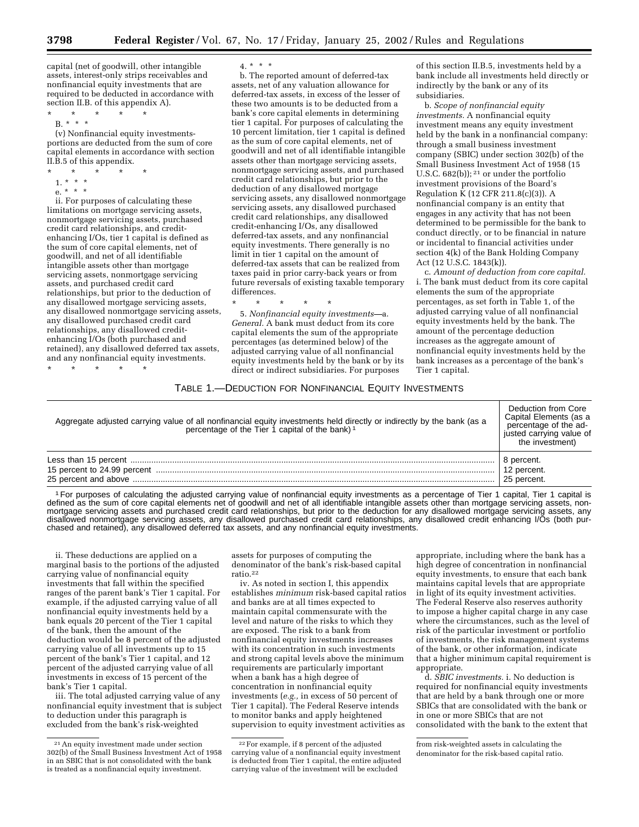capital (net of goodwill, other intangible assets, interest-only strips receivables and nonfinancial equity investments that are required to be deducted in accordance with section II.B. of this appendix A).

\* \* \* \* \*

B. \* \* \* (v) Nonfinancial equity investmentsportions are deducted from the sum of core capital elements in accordance with section II.B.5 of this appendix.

\* \* \* \* \*

\* \* \* \* \*

- 1. \* \* \*
- e. \* \* \*

ii. For purposes of calculating these limitations on mortgage servicing assets, nonmortgage servicing assets, purchased credit card relationships, and creditenhancing I/Os, tier 1 capital is defined as the sum of core capital elements, net of goodwill, and net of all identifiable intangible assets other than mortgage servicing assets, nonmortgage servicing assets, and purchased credit card relationships, but prior to the deduction of any disallowed mortgage servicing assets, any disallowed nonmortgage servicing assets, any disallowed purchased credit card relationships, any disallowed creditenhancing I/Os (both purchased and retained), any disallowed deferred tax assets, and any nonfinancial equity investments.

4. \* \* \*

b. The reported amount of deferred-tax assets, net of any valuation allowance for deferred-tax assets, in excess of the lesser of these two amounts is to be deducted from a bank's core capital elements in determining tier 1 capital. For purposes of calculating the 10 percent limitation, tier 1 capital is defined as the sum of core capital elements, net of goodwill and net of all identifiable intangible assets other than mortgage servicing assets, nonmortgage servicing assets, and purchased credit card relationships, but prior to the deduction of any disallowed mortgage servicing assets, any disallowed nonmortgage servicing assets, any disallowed purchased credit card relationships, any disallowed credit-enhancing I/Os, any disallowed deferred-tax assets, and any nonfinancial equity investments. There generally is no limit in tier 1 capital on the amount of deferred-tax assets that can be realized from taxes paid in prior carry-back years or from future reversals of existing taxable temporary differences.

\* \* \* \* \*

5. *Nonfinancial equity investments—*a. *General.* A bank must deduct from its core capital elements the sum of the appropriate percentages (as determined below) of the adjusted carrying value of all nonfinancial equity investments held by the bank or by its direct or indirect subsidiaries. For purposes

of this section II.B.5, investments held by a bank include all investments held directly or indirectly by the bank or any of its subsidiaries.

b. *Scope of nonfinancial equity investments.* A nonfinancial equity investment means any equity investment held by the bank in a nonfinancial company: through a small business investment company (SBIC) under section 302(b) of the Small Business Investment Act of 1958 (15 U.S.C.  $682(b)$ ;  $21$  or under the portfolio investment provisions of the Board's Regulation  $\hat{K}$  (12 CFR 211.8(c)(3)). A nonfinancial company is an entity that engages in any activity that has not been determined to be permissible for the bank to conduct directly, or to be financial in nature or incidental to financial activities under section 4(k) of the Bank Holding Company Act (12 U.S.C. 1843(k)).

c. *Amount of deduction from core capital.* i. The bank must deduct from its core capital elements the sum of the appropriate percentages, as set forth in Table 1, of the adjusted carrying value of all nonfinancial equity investments held by the bank. The amount of the percentage deduction increases as the aggregate amount of nonfinancial equity investments held by the bank increases as a percentage of the bank's Tier 1 capital.

#### TABLE 1.—DEDUCTION FOR NONFINANCIAL EQUITY INVESTMENTS

| Aggregate adjusted carrying value of all nonfinancial equity investments held directly or indirectly by the bank (as a percentage of the Tier 1 capital of the bank) <sup>1</sup> | Deduction from Core<br>Capital Elements (as a<br>percentage of the ad-<br>justed carrying value of<br>the investment) |
|-----------------------------------------------------------------------------------------------------------------------------------------------------------------------------------|-----------------------------------------------------------------------------------------------------------------------|
|                                                                                                                                                                                   | 8 percent.                                                                                                            |
|                                                                                                                                                                                   | 12 percent.                                                                                                           |
|                                                                                                                                                                                   | 25 percent.                                                                                                           |

1For purposes of calculating the adjusted carrying value of nonfinancial equity investments as a percentage of Tier 1 capital, Tier 1 capital is defined as the sum of core capital elements net of goodwill and net of all identifiable intangible assets other than mortgage servicing assets, nonmortgage servicing assets and purchased credit card relationships, but prior to the deduction for any disallowed mortgage servicing assets, any disallowed nonmortgage servicing assets, any disallowed purchased credit card relationships, any disallowed credit enhancing I/Os (both purchased and retained), any disallowed deferred tax assets, and any nonfinancial equity investments.

ii. These deductions are applied on a marginal basis to the portions of the adjusted carrying value of nonfinancial equity investments that fall within the specified ranges of the parent bank's Tier 1 capital. For example, if the adjusted carrying value of all nonfinancial equity investments held by a bank equals 20 percent of the Tier 1 capital of the bank, then the amount of the deduction would be 8 percent of the adjusted carrying value of all investments up to 15 percent of the bank's Tier 1 capital, and 12 percent of the adjusted carrying value of all investments in excess of 15 percent of the bank's Tier 1 capital.

iii. The total adjusted carrying value of any nonfinancial equity investment that is subject to deduction under this paragraph is excluded from the bank's risk-weighted

assets for purposes of computing the denominator of the bank's risk-based capital ratio.22

iv. As noted in section I, this appendix establishes *minimum* risk-based capital ratios and banks are at all times expected to maintain capital commensurate with the level and nature of the risks to which they are exposed. The risk to a bank from nonfinancial equity investments increases with its concentration in such investments and strong capital levels above the minimum requirements are particularly important when a bank has a high degree of concentration in nonfinancial equity investments (*e.g.,* in excess of 50 percent of Tier 1 capital). The Federal Reserve intends to monitor banks and apply heightened supervision to equity investment activities as

appropriate, including where the bank has a high degree of concentration in nonfinancial equity investments, to ensure that each bank maintains capital levels that are appropriate in light of its equity investment activities. The Federal Reserve also reserves authority to impose a higher capital charge in any case where the circumstances, such as the level of risk of the particular investment or portfolio of investments, the risk management systems of the bank, or other information, indicate that a higher minimum capital requirement is appropriate.

d. *SBIC investments.* i. No deduction is required for nonfinancial equity investments that are held by a bank through one or more SBICs that are consolidated with the bank or in one or more SBICs that are not consolidated with the bank to the extent that

from risk-weighted assets in calculating the denominator for the risk-based capital ratio.

<sup>21</sup>An equity investment made under section 302(b) of the Small Business Investment Act of 1958 in an SBIC that is not consolidated with the bank is treated as a nonfinancial equity investment.

<sup>22</sup>For example, if 8 percent of the adjusted carrying value of a nonfinancial equity investment is deducted from Tier 1 capital, the entire adjusted carrying value of the investment will be excluded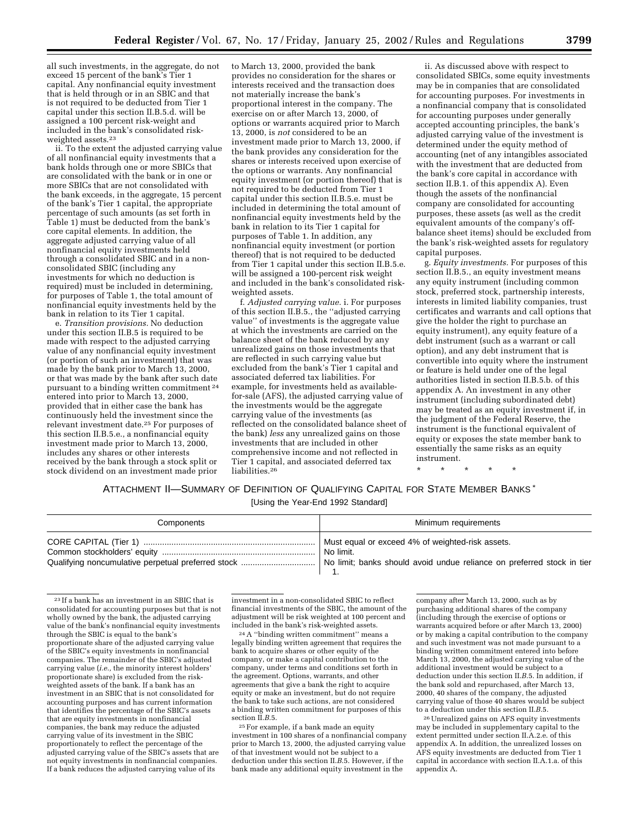all such investments, in the aggregate, do not exceed 15 percent of the bank's Tier 1 capital. Any nonfinancial equity investment that is held through or in an SBIC and that is not required to be deducted from Tier 1 capital under this section II.B.5.d. will be assigned a 100 percent risk-weight and included in the bank's consolidated riskweighted assets.23

ii. To the extent the adjusted carrying value of all nonfinancial equity investments that a bank holds through one or more SBICs that are consolidated with the bank or in one or more SBICs that are not consolidated with the bank exceeds, in the aggregate, 15 percent of the bank's Tier 1 capital, the appropriate percentage of such amounts (as set forth in Table 1) must be deducted from the bank's core capital elements. In addition, the aggregate adjusted carrying value of all nonfinancial equity investments held through a consolidated SBIC and in a nonconsolidated SBIC (including any investments for which no deduction is required) must be included in determining, for purposes of Table 1, the total amount of nonfinancial equity investments held by the bank in relation to its Tier 1 capital.

e. *Transition provisions.* No deduction under this section II.B.5 is required to be made with respect to the adjusted carrying value of any nonfinancial equity investment (or portion of such an investment) that was made by the bank prior to March 13, 2000, or that was made by the bank after such date pursuant to a binding written commitment 24 entered into prior to March 13, 2000, provided that in either case the bank has continuously held the investment since the relevant investment date.25 For purposes of this section II.B.5.e., a nonfinancial equity investment made prior to March 13, 2000, includes any shares or other interests received by the bank through a stock split or stock dividend on an investment made prior

to March 13, 2000, provided the bank provides no consideration for the shares or interests received and the transaction does not materially increase the bank's proportional interest in the company. The exercise on or after March 13, 2000, of options or warrants acquired prior to March 13, 2000, is *not* considered to be an investment made prior to March 13, 2000, if the bank provides any consideration for the shares or interests received upon exercise of the options or warrants. Any nonfinancial equity investment (or portion thereof) that is not required to be deducted from Tier 1 capital under this section II.B.5.e. must be included in determining the total amount of nonfinancial equity investments held by the bank in relation to its Tier 1 capital for purposes of Table 1. In addition, any nonfinancial equity investment (or portion thereof) that is not required to be deducted from Tier 1 capital under this section II.B.5.e. will be assigned a 100-percent risk weight and included in the bank's consolidated riskweighted assets.

f. *Adjusted carrying value.* i. For purposes of this section II.B.5., the ''adjusted carrying value'' of investments is the aggregate value at which the investments are carried on the balance sheet of the bank reduced by any unrealized gains on those investments that are reflected in such carrying value but excluded from the bank's Tier 1 capital and associated deferred tax liabilities. For example, for investments held as availablefor-sale (AFS), the adjusted carrying value of the investments would be the aggregate carrying value of the investments (as reflected on the consolidated balance sheet of the bank) *less* any unrealized gains on those investments that are included in other comprehensive income and not reflected in Tier 1 capital, and associated deferred tax liabilities.<sup>26</sup>

ii. As discussed above with respect to consolidated SBICs, some equity investments may be in companies that are consolidated for accounting purposes. For investments in a nonfinancial company that is consolidated for accounting purposes under generally accepted accounting principles, the bank's adjusted carrying value of the investment is determined under the equity method of accounting (net of any intangibles associated with the investment that are deducted from the bank's core capital in accordance with section II.B.1. of this appendix A). Even though the assets of the nonfinancial company are consolidated for accounting purposes, these assets (as well as the credit equivalent amounts of the company's offbalance sheet items) should be excluded from the bank's risk-weighted assets for regulatory capital purposes.

g. *Equity investments.* For purposes of this section II.B.5., an equity investment means any equity instrument (including common stock, preferred stock, partnership interests, interests in limited liability companies, trust certificates and warrants and call options that give the holder the right to purchase an equity instrument), any equity feature of a debt instrument (such as a warrant or call option), and any debt instrument that is convertible into equity where the instrument or feature is held under one of the legal authorities listed in section II.B.5.b. of this appendix A. An investment in any other instrument (including subordinated debt) may be treated as an equity investment if, in the judgment of the Federal Reserve, the instrument is the functional equivalent of equity or exposes the state member bank to essentially the same risks as an equity instrument.

\* \* \* \* \*

#### ATTACHMENT II—SUMMARY OF DEFINITION OF QUALIFYING CAPITAL FOR STATE MEMBER BANKS \* [Using the Year-End 1992 Standard]

| [Using the Year-End 1992 Standard] |  |
|------------------------------------|--|
|------------------------------------|--|

| Components | Minimum requirements                                                   |
|------------|------------------------------------------------------------------------|
|            | Must equal or exceed 4% of weighted-risk assets.                       |
|            | <sup>'</sup> No limit.                                                 |
|            | No limit; banks should avoid undue reliance on preferred stock in tier |

<sup>23</sup> If a bank has an investment in an SBIC that is consolidated for accounting purposes but that is not wholly owned by the bank, the adjusted carrying value of the bank's nonfinancial equity investments through the SBIC is equal to the bank's proportionate share of the adjusted carrying value of the SBIC's equity investments in nonfinancial companies. The remainder of the SBIC's adjusted carrying value (*i.e.,* the minority interest holders' proportionate share) is excluded from the riskweighted assets of the bank. If a bank has an investment in an SBIC that is not consolidated for accounting purposes and has current information that identifies the percentage of the SBIC's assets that are equity investments in nonfinancial companies, the bank may reduce the adjusted carrying value of its investment in the SBIC proportionately to reflect the percentage of the adjusted carrying value of the SBIC's assets that are not equity investments in nonfinancial companies. If a bank reduces the adjusted carrying value of its

investment in a non-consolidated SBIC to reflect financial investments of the SBIC, the amount of the adjustment will be risk weighted at 100 percent and included in the bank's risk-weighted assets.

24A ''binding written commitment'' means a legally binding written agreement that requires the bank to acquire shares or other equity of the company, or make a capital contribution to the company, under terms and conditions set forth in the agreement. Options, warrants, and other agreements that give a bank the right to acquire equity or make an investment, but do not require the bank to take such actions, are not considered a binding written commitment for purposes of this section II.*B*.5.

25For example, if a bank made an equity investment in 100 shares of a nonfinancial company prior to March 13, 2000, the adjusted carrying value of that investment would not be subject to a deduction under this section II.*B*.5. However, if the bank made any additional equity investment in the

company after March 13, 2000, such as by purchasing additional shares of the company (including through the exercise of options or warrants acquired before or after March 13, 2000) or by making a capital contribution to the company and such investment was not made pursuant to a binding written commitment entered into before March 13, 2000, the adjusted carrying value of the additional investment would be subject to a deduction under this section II.*B*.5. In addition, if the bank sold and repurchased, after March 13, 2000, 40 shares of the company, the adjusted carrying value of those 40 shares would be subject to a deduction under this section II.*B*.5.

26Unrealized gains on AFS equity investments may be included in supplementary capital to the extent permitted under section II.A.2.e. of this appendix A. In addition, the unrealized losses on AFS equity investments are deducted from Tier 1 capital in accordance with section II.A.1.a. of this appendix A.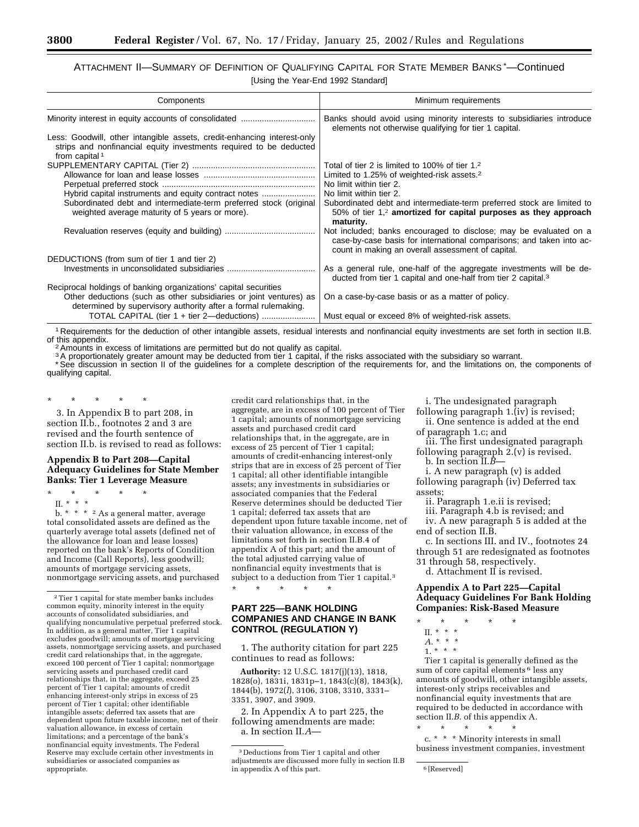## ATTACHMENT II-SUMMARY OF DEFINITION OF QUALIFYING CAPITAL FOR STATE MEMBER BANKS\*-Continued

[Using the Year-End 1992 Standard]

| Components                                                                                                                                                                 | Minimum requirements                                                                                                                                                                           |
|----------------------------------------------------------------------------------------------------------------------------------------------------------------------------|------------------------------------------------------------------------------------------------------------------------------------------------------------------------------------------------|
|                                                                                                                                                                            | Banks should avoid using minority interests to subsidiaries introduce<br>elements not otherwise qualifying for tier 1 capital.                                                                 |
| Less: Goodwill, other intangible assets, credit-enhancing interest-only<br>strips and nonfinancial equity investments required to be deducted<br>from capital <sup>1</sup> |                                                                                                                                                                                                |
|                                                                                                                                                                            | Total of tier 2 is limited to 100% of tier 1.2                                                                                                                                                 |
|                                                                                                                                                                            | Limited to 1.25% of weighted-risk assets. <sup>2</sup>                                                                                                                                         |
|                                                                                                                                                                            | No limit within tier 2.                                                                                                                                                                        |
| Hybrid capital instruments and equity contract notes                                                                                                                       | No limit within tier 2.                                                                                                                                                                        |
| Subordinated debt and intermediate-term preferred stock (original<br>weighted average maturity of 5 years or more).                                                        | Subordinated debt and intermediate-term preferred stock are limited to<br>50% of tier 1, <sup>2</sup> amortized for capital purposes as they approach<br>maturity.                             |
|                                                                                                                                                                            | Not included; banks encouraged to disclose; may be evaluated on a<br>case-by-case basis for international comparisons; and taken into ac-<br>count in making an overall assessment of capital. |
| DEDUCTIONS (from sum of tier 1 and tier 2)                                                                                                                                 |                                                                                                                                                                                                |
|                                                                                                                                                                            | As a general rule, one-half of the aggregate investments will be de-<br>ducted from tier 1 capital and one-half from tier 2 capital. <sup>3</sup>                                              |
| Reciprocal holdings of banking organizations' capital securities                                                                                                           |                                                                                                                                                                                                |
| Other deductions (such as other subsidiaries or joint ventures) as<br>determined by supervisory authority after a formal rulemaking.                                       | On a case-by-case basis or as a matter of policy.                                                                                                                                              |
| TOTAL CAPITAL (tier 1 + tier 2-deductions)                                                                                                                                 | Must equal or exceed 8% of weighted-risk assets.                                                                                                                                               |

<sup>1</sup> Requirements for the deduction of other intangible assets, residual interests and nonfinancial equity investments are set forth in section II.B.<br>of this appendix.

<sup>2</sup> Amounts in excess of limitations are permitted but do not qualify as capital.

3A proportionately greater amount may be deducted from tier 1 capital, if the risks associated with the subsidiary so warrant.

\* See discussion in section II of the guidelines for a complete description of the requirements for, and the limitations on, the components of qualifying capital.

\* \* \* \* \* 3. In Appendix B to part 208, in section II.b., footnotes 2 and 3 are revised and the fourth sentence of section II.b. is revised to read as follows:

### **Appendix B to Part 208—Capital Adequacy Guidelines for State Member Banks: Tier 1 Leverage Measure**

- \* \* \* \* \*
- II. \* \* \*

b. \* \* \* 2 As a general matter, average total consolidated assets are defined as the quarterly average total assets (defined net of the allowance for loan and lease losses) reported on the bank's Reports of Condition and Income (Call Reports), less goodwill; amounts of mortgage servicing assets, nonmortgage servicing assets, and purchased

credit card relationships that, in the aggregate, are in excess of 100 percent of Tier 1 capital; amounts of nonmortgage servicing assets and purchased credit card relationships that, in the aggregate, are in excess of 25 percent of Tier 1 capital; amounts of credit-enhancing interest-only strips that are in excess of 25 percent of Tier 1 capital; all other identifiable intangible assets; any investments in subsidiaries or associated companies that the Federal Reserve determines should be deducted Tier 1 capital; deferred tax assets that are dependent upon future taxable income, net of their valuation allowance, in excess of the limitations set forth in section II.B.4 of appendix A of this part; and the amount of the total adjusted carrying value of nonfinancial equity investments that is subject to a deduction from Tier 1 capital.3 \* \* \* \* \*

## **PART 225—BANK HOLDING COMPANIES AND CHANGE IN BANK CONTROL (REGULATION Y)**

1. The authority citation for part 225 continues to read as follows:

**Authority:** 12 U.S.C. 1817(j)(13), 1818, 1828(o), 1831i, 1831p–1, 1843(c)(8), 1843(k), 1844(b), 1972(*l*), 3106, 3108, 3310, 3331– 3351, 3907, and 3909.

2. In Appendix A to part 225, the following amendments are made: a. In section II.*A*—

i. The undesignated paragraph following paragraph 1.(iv) is revised;

- ii. One sentence is added at the end of paragraph 1.c; and
- iii. The first undesignated paragraph following paragraph 2.(v) is revised.

b. In section II.*B*—

i. A new paragraph (v) is added following paragraph (iv) Deferred tax assets;

ii. Paragraph 1.e.ii is revised;

iii. Paragraph 4.b is revised; and

iv. A new paragraph 5 is added at the end of section II.B.

c. In sections III. and IV., footnotes 24 through 51 are redesignated as footnotes 31 through 58, respectively.

d. Attachment II is revised.

## **Appendix A to Part 225—Capital Adequacy Guidelines For Bank Holding Companies: Risk-Based Measure**

- \* \* \* \* \*
	- II. \* \* \*
	- *A*. \* \* \* 1. \* \* \*

Tier 1 capital is generally defined as the sum of core capital elements<sup>6</sup> less any amounts of goodwill, other intangible assets, interest-only strips receivables and nonfinancial equity investments that are required to be deducted in accordance with section II.*B*. of this appendix A.

\* \* \* \* \* c. \* \* \* Minority interests in small business investment companies, investment

<sup>2</sup>Tier 1 capital for state member banks includes common equity, minority interest in the equity accounts of consolidated subsidiaries, and qualifying noncumulative perpetual preferred stock. In addition, as a general matter, Tier 1 capital excludes goodwill; amounts of mortgage servicing assets, nonmortgage servicing assets, and purchased credit card relationships that, in the aggregate, exceed 100 percent of Tier 1 capital; nonmortgage servicing assets and purchased credit card relationships that, in the aggregate, exceed 25 percent of Tier 1 capital; amounts of credit enhancing interest-only strips in excess of 25 percent of Tier 1 capital; other identifiable intangible assets; deferred tax assets that are dependent upon future taxable income, net of their valuation allowance, in excess of certain limitations; and a percentage of the bank's nonfinancial equity investments. The Federal Reserve may exclude certain other investments in subsidiaries or associated companies as appropriate.

<sup>3</sup> Deductions from Tier 1 capital and other adjustments are discussed more fully in section II.B in appendix A of this part.  $\qquad \qquad$ <sup>6</sup> [Reserved]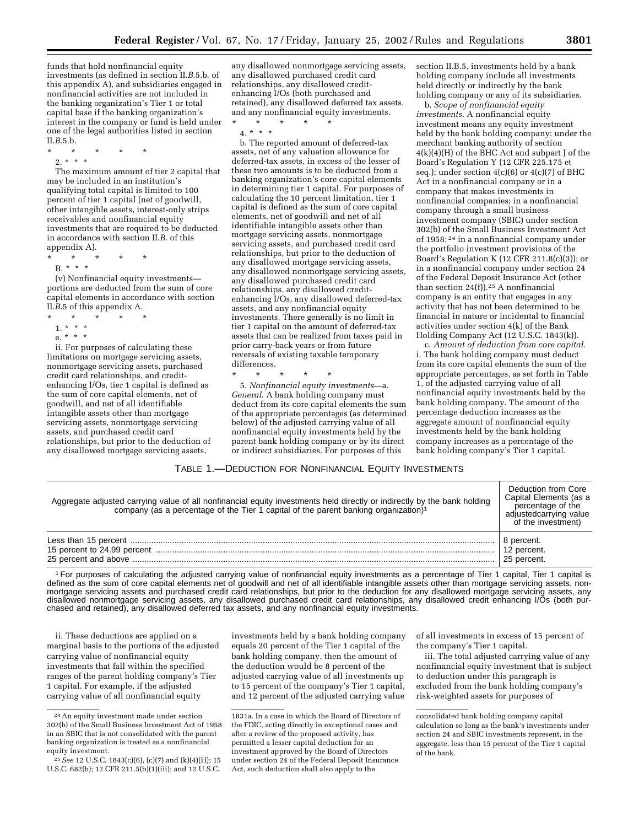funds that hold nonfinancial equity investments (as defined in section II.*B*.5.b. of this appendix A), and subsidiaries engaged in nonfinancial activities are not included in the banking organization's Tier 1 or total capital base if the banking organization's interest in the company or fund is held under one of the legal authorities listed in section II.*B*.5.b.

- \* \* \* \* \*
- 2. \* \* \*

The maximum amount of tier 2 capital that may be included in an institution's qualifying total capital is limited to 100 percent of tier 1 capital (net of goodwill, other intangible assets, interest-only strips receivables and nonfinancial equity investments that are required to be deducted in accordance with section II.*B*. of this appendix A).

- \* \* \* \* \*
- B. \* \* \*

(v) Nonfinancial equity investments portions are deducted from the sum of core capital elements in accordance with section II.*B*.5 of this appendix A.

- \* \* \* \* \*
- 1. \* \* \*
- e. \* \* \*

ii. For purposes of calculating these limitations on mortgage servicing assets, nonmortgage servicing assets, purchased credit card relationships, and creditenhancing I/Os, tier 1 capital is defined as the sum of core capital elements, net of goodwill, and net of all identifiable intangible assets other than mortgage servicing assets, nonmortgage servicing assets, and purchased credit card relationships, but prior to the deduction of any disallowed mortgage servicing assets,

any disallowed nonmortgage servicing assets, any disallowed purchased credit card relationships, any disallowed creditenhancing I/Os (both purchased and retained), any disallowed deferred tax assets, and any nonfinancial equity investments. \* \* \* \* \*

 $4. * * * *$ 

b. The reported amount of deferred-tax assets, net of any valuation allowance for deferred-tax assets, in excess of the lesser of these two amounts is to be deducted from a banking organization's core capital elements in determining tier 1 capital. For purposes of calculating the 10 percent limitation, tier 1 capital is defined as the sum of core capital elements, net of goodwill and net of all identifiable intangible assets other than mortgage servicing assets, nonmortgage servicing assets, and purchased credit card relationships, but prior to the deduction of any disallowed mortgage servicing assets, any disallowed nonmortgage servicing assets, any disallowed purchased credit card relationships, any disallowed creditenhancing I/Os, any disallowed deferred-tax assets, and any nonfinancial equity investments. There generally is no limit in tier 1 capital on the amount of deferred-tax assets that can be realized from taxes paid in prior carry-back years or from future reversals of existing taxable temporary differences.

\* \* \* \* \*

5. *Nonfinancial equity investments—*a. *General*. A bank holding company must deduct from its core capital elements the sum of the appropriate percentages (as determined below) of the adjusted carrying value of all nonfinancial equity investments held by the parent bank holding company or by its direct or indirect subsidiaries. For purposes of this

section II.B.5, investments held by a bank holding company include all investments held directly or indirectly by the bank holding company or any of its subsidiaries.

b. *Scope of nonfinancial equity investments*. A nonfinancial equity investment means any equity investment held by the bank holding company: under the merchant banking authority of section 4(k)(4)(H) of the BHC Act and subpart J of the Board's Regulation Y (12 CFR 225.175 et seq.); under section 4(c)(6) or 4(c)(7) of BHC Act in a nonfinancial company or in a company that makes investments in nonfinancial companies; in a nonfinancial company through a small business investment company (SBIC) under section 302(b) of the Small Business Investment Act of 1958; 24 in a nonfinancial company under the portfolio investment provisions of the Board's Regulation K (12 CFR 211.8(c)(3)); or in a nonfinancial company under section 24 of the Federal Deposit Insurance Act (other than section  $24(f)$ ).<sup>25</sup> A nonfinancial company is an entity that engages in any activity that has not been determined to be financial in nature or incidental to financial activities under section 4(k) of the Bank Holding Company Act (12 U.S.C. 1843(k)).

c. *Amount of deduction from core capital*. i. The bank holding company must deduct from its core capital elements the sum of the appropriate percentages, as set forth in Table 1, of the adjusted carrying value of all nonfinancial equity investments held by the bank holding company. The amount of the percentage deduction increases as the aggregate amount of nonfinancial equity investments held by the bank holding company increases as a percentage of the bank holding company's Tier 1 capital.

## TABLE 1.—DEDUCTION FOR NONFINANCIAL EQUITY INVESTMENTS

| Aggregate adjusted carrying value of all nonfinancial equity investments held directly or indirectly by the bank holding company (as a percentage of the Tier 1 capital of the parent banking organization) <sup>1</sup> | Deduction from Core<br>Capital Elements (as a<br>percentage of the<br>adjustedcarrying value<br>of the investment) |
|--------------------------------------------------------------------------------------------------------------------------------------------------------------------------------------------------------------------------|--------------------------------------------------------------------------------------------------------------------|
|                                                                                                                                                                                                                          | 8 percent.                                                                                                         |
| 15 percent to 24.99 percent manufactured and content to 24.99 percent manufactured and content to 24.99 percent                                                                                                          | 12 percent.                                                                                                        |
|                                                                                                                                                                                                                          | 25 percent.                                                                                                        |

1For purposes of calculating the adjusted carrying value of nonfinancial equity investments as a percentage of Tier 1 capital, Tier 1 capital is defined as the sum of core capital elements net of goodwill and net of all identifiable intangible assets other than mortgage servicing assets, nonmortgage servicing assets and purchased credit card relationships, but prior to the deduction for any disallowed mortgage servicing assets, any disallowed nonmortgage servicing assets, any disallowed purchased credit card relationships, any disallowed credit enhancing I/Os (both purchased and retained), any disallowed deferred tax assets, and any nonfinancial equity investments.

ii. These deductions are applied on a marginal basis to the portions of the adjusted carrying value of nonfinancial equity investments that fall within the specified ranges of the parent holding company's Tier 1 capital. For example, if the adjusted carrying value of all nonfinancial equity

investments held by a bank holding company equals 20 percent of the Tier 1 capital of the bank holding company, then the amount of the deduction would be 8 percent of the adjusted carrying value of all investments up to 15 percent of the company's Tier 1 capital, and 12 percent of the adjusted carrying value

of all investments in excess of 15 percent of the company's Tier 1 capital.

iii. The total adjusted carrying value of any nonfinancial equity investment that is subject to deduction under this paragraph is excluded from the bank holding company's risk-weighted assets for purposes of

<sup>24</sup>An equity investment made under section 302(b) of the Small Business Investment Act of 1958 in an SBIC that is not consolidated with the parent banking organization is treated as a nonfinancial equity investment.

<sup>25</sup>*See* 12 U.S.C. 1843(c)(6), (c)(7) and (k)(4)(H); 15 U.S.C. 682(b); 12 CFR 211.5(b)(1)(iii); and 12 U.S.C.

<sup>1831</sup>a. In a case in which the Board of Directors of the FDIC, acting directly in exceptional cases and after a review of the proposed activity, has permitted a lesser capital deduction for an investment approved by the Board of Directors under section 24 of the Federal Deposit Insurance Act, such deduction shall also apply to the

consolidated bank holding company capital calculation so long as the bank's investments under section 24 and SBIC investments represent, in the aggregate, less than 15 percent of the Tier 1 capital of the bank.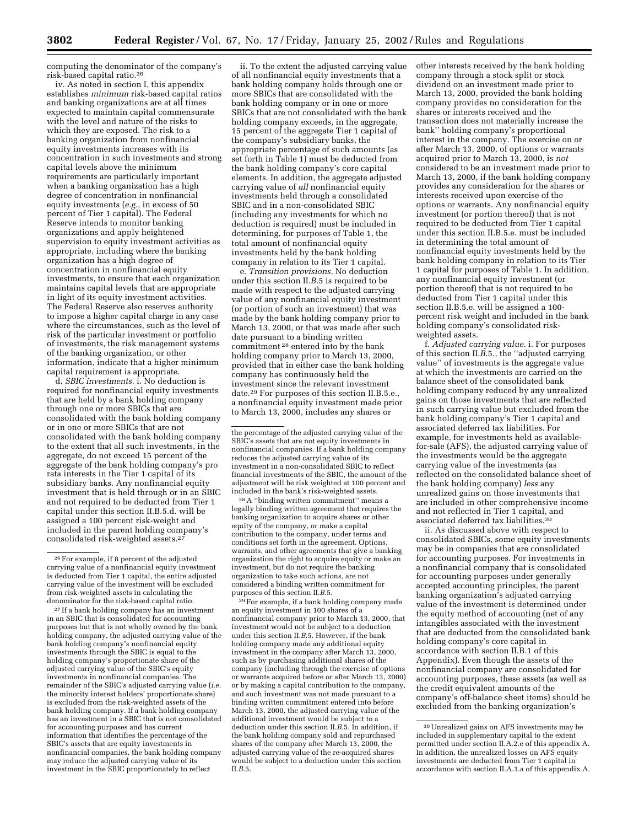computing the denominator of the company's risk-based capital ratio.26

iv. As noted in section I, this appendix establishes *minimum* risk-based capital ratios and banking organizations are at all times expected to maintain capital commensurate with the level and nature of the risks to which they are exposed. The risk to a banking organization from nonfinancial equity investments increases with its concentration in such investments and strong capital levels above the minimum requirements are particularly important when a banking organization has a high degree of concentration in nonfinancial equity investments (*e.g.*, in excess of 50 percent of Tier 1 capital). The Federal Reserve intends to monitor banking organizations and apply heightened supervision to equity investment activities as appropriate, including where the banking organization has a high degree of concentration in nonfinancial equity investments, to ensure that each organization maintains capital levels that are appropriate in light of its equity investment activities. The Federal Reserve also reserves authority to impose a higher capital charge in any case where the circumstances, such as the level of risk of the particular investment or portfolio of investments, the risk management systems of the banking organization, or other information, indicate that a higher minimum capital requirement is appropriate.

d. *SBIC investments.* i. No deduction is required for nonfinancial equity investments that are held by a bank holding company through one or more SBICs that are consolidated with the bank holding company or in one or more SBICs that are not consolidated with the bank holding company to the extent that all such investments, in the aggregate, do not exceed 15 percent of the aggregate of the bank holding company's pro rata interests in the Tier 1 capital of its subsidiary banks. Any nonfinancial equity investment that is held through or in an SBIC and not required to be deducted from Tier 1 capital under this section II.B.5.d. will be assigned a 100 percent risk-weight and included in the parent holding company's consolidated risk-weighted assets.27

27 If a bank holding company has an investment in an SBIC that is consolidated for accounting purposes but that is not wholly owned by the bank holding company, the adjusted carrying value of the bank holding company's nonfinancial equity investments through the SBIC is equal to the holding company's proportionate share of the adjusted carrying value of the SBIC's equity investments in nonfinancial companies. The remainder of the SBIC's adjusted carrying value (*i.e.* the minority interest holders' proportionate share) is excluded from the risk-weighted assets of the bank holding company. If a bank holding company has an investment in a SBIC that is not consolidated for accounting purposes and has current information that identifies the percentage of the SBIC's assets that are equity investments in nonfinancial companies, the bank holding company may reduce the adjusted carrying value of its investment in the SBIC proportionately to reflect

ii. To the extent the adjusted carrying value of all nonfinancial equity investments that a bank holding company holds through one or more SBICs that are consolidated with the bank holding company or in one or more SBICs that are not consolidated with the bank holding company exceeds, in the aggregate, 15 percent of the aggregate Tier 1 capital of the company's subsidiary banks, the appropriate percentage of such amounts (as set forth in Table 1) must be deducted from the bank holding company's core capital elements. In addition, the aggregate adjusted carrying value of *all* nonfinancial equity investments held through a consolidated SBIC and in a non-consolidated SBIC (including any investments for which no deduction is required) must be included in determining, for purposes of Table 1, the total amount of nonfinancial equity investments held by the bank holding company in relation to its Tier 1 capital.

e. *Transition provisions.* No deduction under this section II.*B*.5 is required to be made with respect to the adjusted carrying value of any nonfinancial equity investment (or portion of such an investment) that was made by the bank holding company prior to March 13, 2000, or that was made after such date pursuant to a binding written commitment 28 entered into by the bank holding company prior to March 13, 2000, provided that in either case the bank holding company has continuously held the investment since the relevant investment date.29 For purposes of this section II.B.5.e., a nonfinancial equity investment made prior to March 13, 2000, includes any shares or

28A ''binding written commitment'' means a legally binding written agreement that requires the banking organization to acquire shares or other equity of the company, or make a capital contribution to the company, under terms and conditions set forth in the agreement. Options, warrants, and other agreements that give a banking organization the right to acquire equity or make an investment, but do not require the banking organization to take such actions, are not considered a binding written commitment for purposes of this section II.*B*.5.

<sup>29</sup>For example, if a bank holding company made an equity investment in 100 shares of a nonfinancial company prior to March 13, 2000, that investment would not be subject to a deduction under this section II.*B*.5. However, if the bank holding company made any additional equity investment in the company after March 13, 2000, such as by purchasing additional shares of the company (including through the exercise of options or warrants acquired before or after March 13, 2000) or by making a capital contribution to the company, and such investment was not made pursuant to a binding written commitment entered into before March 13, 2000, the adjusted carrying value of the additional investment would be subject to a deduction under this section II.*B*.5. In addition, if the bank holding company sold and repurchased shares of the company after March 13, 2000, the adjusted carrying value of the re-acquired shares would be subject to a deduction under this section II.*B*.5.

other interests received by the bank holding company through a stock split or stock dividend on an investment made prior to March 13, 2000, provided the bank holding company provides no consideration for the shares or interests received and the transaction does not materially increase the bank'' holding company's proportional interest in the company. The exercise on or after March 13, 2000, of options or warrants acquired prior to March 13, 2000, is *not* considered to be an investment made prior to March 13, 2000, if the bank holding company provides any consideration for the shares or interests received upon exercise of the options or warrants. Any nonfinancial equity investment (or portion thereof) that is not required to be deducted from Tier 1 capital under this section II.B.5.e. must be included in determining the total amount of nonfinancial equity investments held by the bank holding company in relation to its Tier 1 capital for purposes of Table 1. In addition, any nonfinancial equity investment (or portion thereof) that is not required to be deducted from Tier 1 capital under this section II.B.5.e. will be assigned a 100 percent risk weight and included in the bank holding company's consolidated riskweighted assets.

f. *Adjusted carrying value.* i. For purposes of this section II.*B*.5., the ''adjusted carrying value'' of investments is the aggregate value at which the investments are carried on the balance sheet of the consolidated bank holding company reduced by any unrealized gains on those investments that are reflected in such carrying value but excluded from the bank holding company's Tier 1 capital and associated deferred tax liabilities. For example, for investments held as availablefor-sale (AFS), the adjusted carrying value of the investments would be the aggregate carrying value of the investments (as reflected on the consolidated balance sheet of the bank holding company) *less* any unrealized gains on those investments that are included in other comprehensive income and not reflected in Tier 1 capital, and associated deferred tax liabilities.30

ii. As discussed above with respect to consolidated SBICs, some equity investments may be in companies that are consolidated for accounting purposes. For investments in a nonfinancial company that is consolidated for accounting purposes under generally accepted accounting principles, the parent banking organization's adjusted carrying value of the investment is determined under the equity method of accounting (net of any intangibles associated with the investment that are deducted from the consolidated bank holding company's core capital in accordance with section II.B.1 of this Appendix). Even though the assets of the nonfinancial company are consolidated for accounting purposes, these assets (as well as the credit equivalent amounts of the company's off-balance sheet items) should be excluded from the banking organization's

<sup>26</sup>For example, if 8 percent of the adjusted carrying value of a nonfinancial equity investment is deducted from Tier 1 capital, the entire adjusted carrying value of the investment will be excluded from risk-weighted assets in calculating the denominator for the risk-based capital ratio.

the percentage of the adjusted carrying value of the SBIC's assets that are not equity investments in nonfinancial companies. If a bank holding company reduces the adjusted carrying value of its investment in a non-consolidated SBIC to reflect financial investments of the SBIC, the amount of the adjustment will be risk weighted at 100 percent and included in the bank's risk-weighted assets.

<sup>30</sup>Unrealized gains on AFS investments may be included in supplementary capital to the extent permitted under section II.A.2.e of this appendix A. In addition, the unrealized losses on AFS equity investments are deducted from Tier 1 capital in accordance with section II.A.1.a of this appendix A.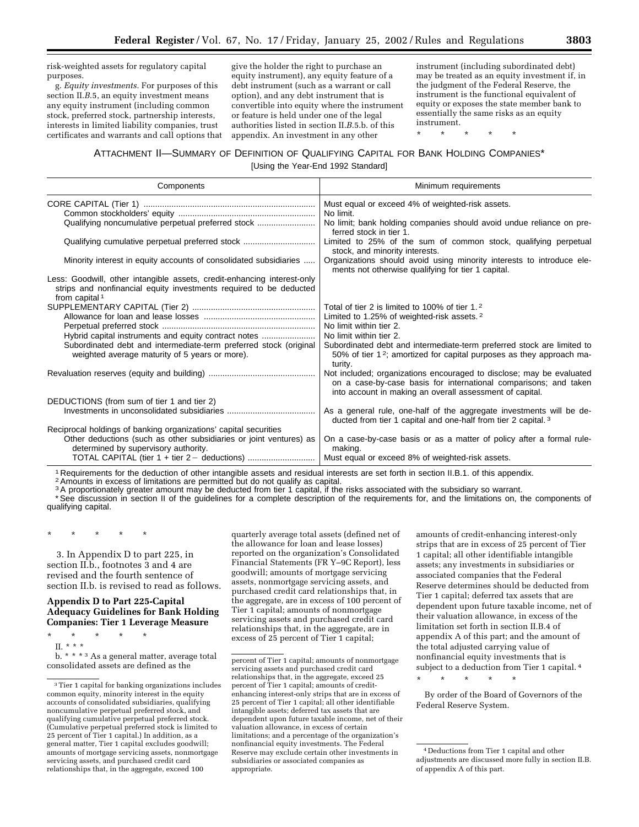risk-weighted assets for regulatory capital purposes.

g. *Equity investments.* For purposes of this section II.B.5, an equity investment means any equity instrument (including common stock, preferred stock, partnership interests, interests in limited liability companies, trust certificates and warrants and call options that

give the holder the right to purchase an equity instrument), any equity feature of a debt instrument (such as a warrant or call option), and any debt instrument that is convertible into equity where the instrument or feature is held under one of the legal authorities listed in section II.*B*.5.b. of this appendix. An investment in any other

instrument (including subordinated debt) may be treated as an equity investment if, in the judgment of the Federal Reserve, the instrument is the functional equivalent of equity or exposes the state member bank to essentially the same risks as an equity instrument.

\* \* \* \* \*

## ATTACHMENT II—SUMMARY OF DEFINITION OF QUALIFYING CAPITAL FOR BANK HOLDING COMPANIES\*

[Using the Year-End 1992 Standard]

| Components                                                                                                                                                                 | Minimum requirements                                                                                                                                                                                 |
|----------------------------------------------------------------------------------------------------------------------------------------------------------------------------|------------------------------------------------------------------------------------------------------------------------------------------------------------------------------------------------------|
|                                                                                                                                                                            | Must equal or exceed 4% of weighted-risk assets.<br>No limit.                                                                                                                                        |
| Qualifying noncumulative perpetual preferred stock                                                                                                                         | No limit; bank holding companies should avoid undue reliance on pre-<br>ferred stock in tier 1.                                                                                                      |
| Qualifying cumulative perpetual preferred stock                                                                                                                            | Limited to 25% of the sum of common stock, qualifying perpetual<br>stock, and minority interests.                                                                                                    |
| Minority interest in equity accounts of consolidated subsidiaries                                                                                                          | Organizations should avoid using minority interests to introduce ele-<br>ments not otherwise qualifying for tier 1 capital.                                                                          |
| Less: Goodwill, other intangible assets, credit-enhancing interest-only<br>strips and nonfinancial equity investments required to be deducted<br>from capital <sup>1</sup> |                                                                                                                                                                                                      |
|                                                                                                                                                                            | Total of tier 2 is limited to 100% of tier 1.2                                                                                                                                                       |
|                                                                                                                                                                            | Limited to 1.25% of weighted-risk assets. <sup>2</sup>                                                                                                                                               |
|                                                                                                                                                                            | No limit within tier 2.                                                                                                                                                                              |
| Hybrid capital instruments and equity contract notes                                                                                                                       | No limit within tier 2.                                                                                                                                                                              |
| Subordinated debt and intermediate-term preferred stock (original<br>weighted average maturity of 5 years or more).                                                        | Subordinated debt and intermediate-term preferred stock are limited to<br>50% of tier 1 <sup>2</sup> ; amortized for capital purposes as they approach ma-<br>turity.                                |
|                                                                                                                                                                            | Not included; organizations encouraged to disclose; may be evaluated<br>on a case-by-case basis for international comparisons; and taken<br>into account in making an overall assessment of capital. |
| DEDUCTIONS (from sum of tier 1 and tier 2)                                                                                                                                 |                                                                                                                                                                                                      |
|                                                                                                                                                                            | As a general rule, one-half of the aggregate investments will be de-<br>ducted from tier 1 capital and one-half from tier 2 capital. <sup>3</sup>                                                    |
| Reciprocal holdings of banking organizations' capital securities                                                                                                           |                                                                                                                                                                                                      |
| Other deductions (such as other subsidiaries or joint ventures) as<br>determined by supervisory authority.                                                                 | On a case-by-case basis or as a matter of policy after a formal rule-<br>making.                                                                                                                     |
|                                                                                                                                                                            | Must equal or exceed 8% of weighted-risk assets.                                                                                                                                                     |

<sup>1</sup> Requirements for the deduction of other intangible assets and residual interests are set forth in section II.B.1. of this appendix.<br><sup>2</sup> Amounts in excess of limitations are permitted but do not qualify as capital.

3A proportionately greater amount may be deducted from tier 1 capital, if the risks associated with the subsidiary so warrant.

\* See discussion in section II of the guidelines for a complete description of the requirements for, and the limitations on, the components of qualifying capital.

\* \* \* \* \*

3. In Appendix D to part 225, in section II.b., footnotes 3 and 4 are revised and the fourth sentence of section II.b. is revised to read as follows.

## **Appendix D to Part 225-Capital Adequacy Guidelines for Bank Holding Companies: Tier 1 Leverage Measure**

\* \* \* \* \*

II. \* \* \*

b. \* \* \* 3 As a general matter, average total consolidated assets are defined as the

quarterly average total assets (defined net of the allowance for loan and lease losses) reported on the organization's Consolidated Financial Statements (FR Y–9C Report), less goodwill; amounts of mortgage servicing assets, nonmortgage servicing assets, and purchased credit card relationships that, in the aggregate, are in excess of 100 percent of Tier 1 capital; amounts of nonmortgage servicing assets and purchased credit card relationships that, in the aggregate, are in excess of 25 percent of Tier 1 capital;

amounts of credit-enhancing interest-only strips that are in excess of 25 percent of Tier 1 capital; all other identifiable intangible assets; any investments in subsidiaries or associated companies that the Federal Reserve determines should be deducted from Tier 1 capital; deferred tax assets that are dependent upon future taxable income, net of their valuation allowance, in excess of the limitation set forth in section II.B.4 of appendix A of this part; and the amount of the total adjusted carrying value of nonfinancial equity investments that is subject to a deduction from Tier 1 capital. 4

\* \* \* \* \*

By order of the Board of Governors of the Federal Reserve System.

<sup>3</sup>Tier 1 capital for banking organizations includes common equity, minority interest in the equity accounts of consolidated subsidiaries, qualifying noncumulative perpetual preferred stock, and qualifying cumulative perpetual preferred stock. (Cumulative perpetual preferred stock is limited to 25 percent of Tier 1 capital.) In addition, as a general matter, Tier 1 capital excludes goodwill; amounts of mortgage servicing assets, nonmortgage servicing assets, and purchased credit card relationships that, in the aggregate, exceed 100

percent of Tier 1 capital; amounts of nonmortgage servicing assets and purchased credit card relationships that, in the aggregate, exceed 25 percent of Tier 1 capital; amounts of creditenhancing interest-only strips that are in excess of 25 percent of Tier 1 capital; all other identifiable intangible assets; deferred tax assets that are dependent upon future taxable income, net of their valuation allowance, in excess of certain limitations; and a percentage of the organization's nonfinancial equity investments. The Federal Reserve may exclude certain other investments in subsidiaries or associated companies as appropriate.

<sup>4</sup> Deductions from Tier 1 capital and other adjustments are discussed more fully in section II.B. of appendix A of this part.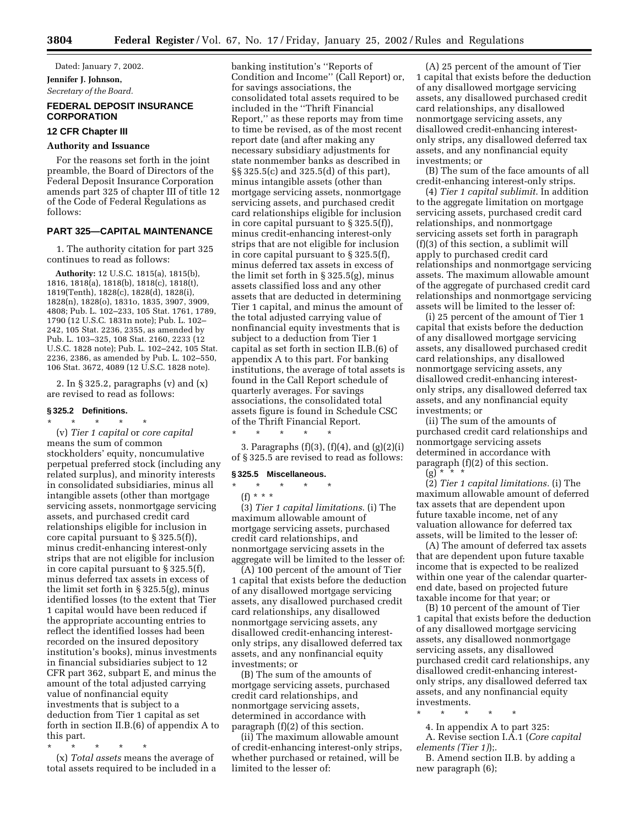Dated: January 7, 2002.

**Jennifer J. Johnson,** *Secretary of the Board.*

## **FEDERAL DEPOSIT INSURANCE CORPORATION**

#### **12 CFR Chapter III**

#### **Authority and Issuance**

For the reasons set forth in the joint preamble, the Board of Directors of the Federal Deposit Insurance Corporation amends part 325 of chapter III of title 12 of the Code of Federal Regulations as follows:

#### **PART 325—CAPITAL MAINTENANCE**

1. The authority citation for part 325 continues to read as follows:

**Authority:** 12 U.S.C. 1815(a), 1815(b), 1816, 1818(a), 1818(b), 1818(c), 1818(t), 1819(Tenth), 1828(c), 1828(d), 1828(i), 1828(n), 1828(o), 1831o, 1835, 3907, 3909, 4808; Pub. L. 102–233, 105 Stat. 1761, 1789, 1790 (12 U.S.C. 1831n note); Pub. L. 102– 242, 105 Stat. 2236, 2355, as amended by Pub. L. 103–325, 108 Stat. 2160, 2233 (12 U.S.C. 1828 note); Pub. L. 102–242, 105 Stat. 2236, 2386, as amended by Pub. L. 102–550, 106 Stat. 3672, 4089 (12 U.S.C. 1828 note).

2. In § 325.2, paragraphs (v) and (x) are revised to read as follows:

**§ 325.2 Definitions.** \* \* \* \* \* (v) *Tier 1 capital* or *core capital* means the sum of common stockholders' equity, noncumulative perpetual preferred stock (including any related surplus), and minority interests in consolidated subsidiaries, minus all intangible assets (other than mortgage servicing assets, nonmortgage servicing assets, and purchased credit card relationships eligible for inclusion in core capital pursuant to § 325.5(f)), minus credit-enhancing interest-only strips that are not eligible for inclusion in core capital pursuant to § 325.5(f), minus deferred tax assets in excess of the limit set forth in § 325.5(g), minus identified losses (to the extent that Tier 1 capital would have been reduced if the appropriate accounting entries to reflect the identified losses had been recorded on the insured depository institution's books), minus investments in financial subsidiaries subject to 12 CFR part 362, subpart E, and minus the amount of the total adjusted carrying value of nonfinancial equity investments that is subject to a deduction from Tier 1 capital as set forth in section II.B.(6) of appendix A to this part. \* \* \* \* \*

(x) *Total assets* means the average of total assets required to be included in a

banking institution's ''Reports of Condition and Income'' (Call Report) or, for savings associations, the consolidated total assets required to be included in the ''Thrift Financial Report,'' as these reports may from time to time be revised, as of the most recent report date (and after making any necessary subsidiary adjustments for state nonmember banks as described in §§ 325.5(c) and 325.5(d) of this part), minus intangible assets (other than mortgage servicing assets, nonmortgage servicing assets, and purchased credit card relationships eligible for inclusion in core capital pursuant to § 325.5(f)), minus credit-enhancing interest-only strips that are not eligible for inclusion in core capital pursuant to § 325.5(f), minus deferred tax assets in excess of the limit set forth in § 325.5(g), minus assets classified loss and any other assets that are deducted in determining Tier 1 capital, and minus the amount of the total adjusted carrying value of nonfinancial equity investments that is subject to a deduction from Tier 1 capital as set forth in section II.B.(6) of appendix A to this part. For banking institutions, the average of total assets is found in the Call Report schedule of quarterly averages. For savings associations, the consolidated total assets figure is found in Schedule CSC of the Thrift Financial Report.

3. Paragraphs (f)(3), (f)(4), and (g)(2)(i) of § 325.5 are revised to read as follows:

#### **§ 325.5 Miscellaneous.**

\* \* \* \* \*

\* \* \* \* \*

(f) \* \* \* (3) *Tier 1 capital limitations*. (i) The maximum allowable amount of

mortgage servicing assets, purchased credit card relationships, and nonmortgage servicing assets in the aggregate will be limited to the lesser of:

(A) 100 percent of the amount of Tier 1 capital that exists before the deduction of any disallowed mortgage servicing assets, any disallowed purchased credit card relationships, any disallowed nonmortgage servicing assets, any disallowed credit-enhancing interestonly strips, any disallowed deferred tax assets, and any nonfinancial equity investments; or

(B) The sum of the amounts of mortgage servicing assets, purchased credit card relationships, and nonmortgage servicing assets, determined in accordance with paragraph (f)(2) of this section.

(ii) The maximum allowable amount of credit-enhancing interest-only strips, whether purchased or retained, will be limited to the lesser of:

(A) 25 percent of the amount of Tier 1 capital that exists before the deduction of any disallowed mortgage servicing assets, any disallowed purchased credit card relationships, any disallowed nonmortgage servicing assets, any disallowed credit-enhancing interestonly strips, any disallowed deferred tax assets, and any nonfinancial equity investments; or

(B) The sum of the face amounts of all credit-enhancing interest-only strips.

(4) *Tier 1 capital sublimit*. In addition to the aggregate limitation on mortgage servicing assets, purchased credit card relationships, and nonmortgage servicing assets set forth in paragraph (f)(3) of this section, a sublimit will apply to purchased credit card relationships and nonmortgage servicing assets. The maximum allowable amount of the aggregate of purchased credit card relationships and nonmortgage servicing assets will be limited to the lesser of:

(i) 25 percent of the amount of Tier 1 capital that exists before the deduction of any disallowed mortgage servicing assets, any disallowed purchased credit card relationships, any disallowed nonmortgage servicing assets, any disallowed credit-enhancing interestonly strips, any disallowed deferred tax assets, and any nonfinancial equity investments; or

(ii) The sum of the amounts of purchased credit card relationships and nonmortgage servicing assets determined in accordance with paragraph (f)(2) of this section.  $(g)$  \*  $*$  \* \*

(2) *Tier 1 capital limitations.* (i) The maximum allowable amount of deferred tax assets that are dependent upon future taxable income, net of any valuation allowance for deferred tax assets, will be limited to the lesser of:

(A) The amount of deferred tax assets that are dependent upon future taxable income that is expected to be realized within one year of the calendar quarterend date, based on projected future taxable income for that year; or

(B) 10 percent of the amount of Tier 1 capital that exists before the deduction of any disallowed mortgage servicing assets, any disallowed nonmortgage servicing assets, any disallowed purchased credit card relationships, any disallowed credit-enhancing interestonly strips, any disallowed deferred tax assets, and any nonfinancial equity investments.

\* \* \* \* \*

4. In appendix A to part 325:

A. Revise section I.A.1 (*Core capital elements (Tier 1)*);.

B. Amend section II.B. by adding a new paragraph (6);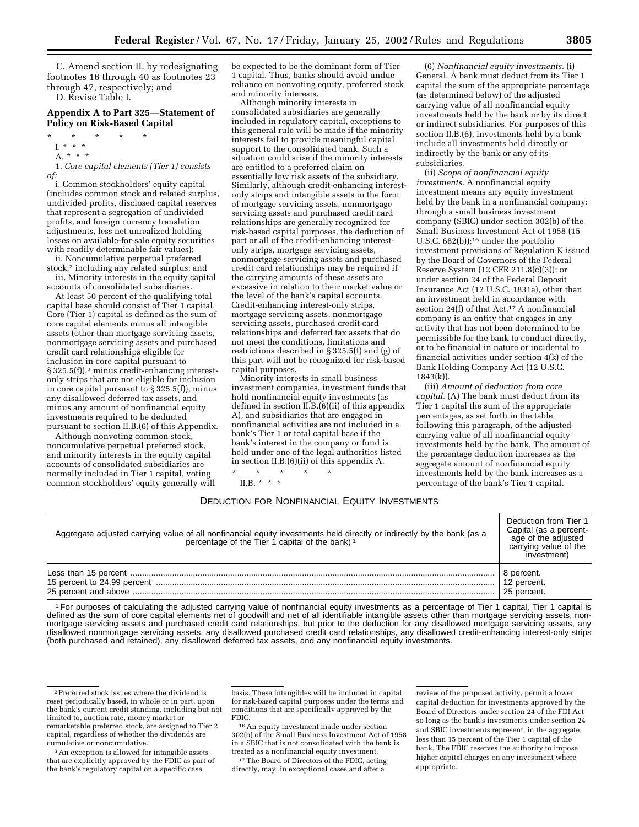C. Amend section II. by redesignating footnotes 16 through 40 as footnotes 23 through 47, respectively; and D. Revise Table I.

## **Appendix A to Part 325—Statement of Policy on Risk-Based Capital**

\* \* \* \* \* I. \* \* \*

A. \* \* \*

1. *Core capital elements (Tier 1) consists of:*

i. Common stockholders' equity capital (includes common stock and related surplus, undivided profits, disclosed capital reserves that represent a segregation of undivided profits, and foreign currency translation adjustments, less net unrealized holding losses on available-for-sale equity securities with readily determinable fair values);

ii. Noncumulative perpetual preferred stock,2 including any related surplus; and iii. Minority interests in the equity capital

accounts of consolidated subsidiaries. At least 50 percent of the qualifying total capital base should consist of Tier 1 capital. Core (Tier 1) capital is defined as the sum of core capital elements minus all intangible assets (other than mortgage servicing assets, nonmortgage servicing assets and purchased credit card relationships eligible for inclusion in core capital pursuant to § 325.5(f)),<sup>3</sup> minus credit-enhancing interestonly strips that are not eligible for inclusion in core capital pursuant to  $\S 325.5(f)$ , minus any disallowed deferred tax assets, and minus any amount of nonfinancial equity investments required to be deducted pursuant to section II.B.(6) of this Appendix.

Although nonvoting common stock, noncumulative perpetual preferred stock, and minority interests in the equity capital accounts of consolidated subsidiaries are normally included in Tier 1 capital, voting common stockholders' equity generally will be expected to be the dominant form of Tier 1 capital. Thus, banks should avoid undue reliance on nonvoting equity, preferred stock and minority interests.

Although minority interests in consolidated subsidiaries are generally included in regulatory capital, exceptions to this general rule will be made if the minority interests fail to provide meaningful capital support to the consolidated bank. Such a situation could arise if the minority interests are entitled to a preferred claim on essentially low risk assets of the subsidiary. Similarly, although credit-enhancing interestonly strips and intangible assets in the form of mortgage servicing assets, nonmortgage servicing assets and purchased credit card relationships are generally recognized for risk-based capital purposes, the deduction of part or all of the credit-enhancing interestonly strips, mortgage servicing assets, nonmortgage servicing assets and purchased credit card relationships may be required if the carrying amounts of these assets are excessive in relation to their market value or the level of the bank's capital accounts. Credit-enhancing interest-only strips, mortgage servicing assets, nonmortgage servicing assets, purchased credit card relationships and deferred tax assets that do not meet the conditions, limitations and restrictions described in § 325.5(f) and (g) of this part will not be recognized for risk-based capital purposes.

Minority interests in small business investment companies, investment funds that hold nonfinancial equity investments (as defined in section II.B.(6)(ii) of this appendix A), and subsidiaries that are engaged in nonfinancial activities are not included in a bank's Tier 1 or total capital base if the bank's interest in the company or fund is held under one of the legal authorities listed in section II.B.(6)(ii) of this appendix A.

\* \* \* \* \*

II.B.  $*$   $*$   $*$ 

(6) *Nonfinancial equity investments.* (i) General. A bank must deduct from its Tier 1 capital the sum of the appropriate percentage (as determined below) of the adjusted carrying value of all nonfinancial equity investments held by the bank or by its direct or indirect subsidiaries. For purposes of this section II.B.(6), investments held by a bank include all investments held directly or indirectly by the bank or any of its subsidiaries.

(ii) *Scope of nonfinancial equity investments.* A nonfinancial equity investment means any equity investment held by the bank in a nonfinancial company: through a small business investment company (SBIC) under section 302(b) of the Small Business Investment Act of 1958 (15 U.S.C. 682(b));16 under the portfolio investment provisions of Regulation K issued by the Board of Governors of the Federal Reserve System (12 CFR 211.8(c)(3)); or under section 24 of the Federal Deposit Insurance Act (12 U.S.C. 1831a), other than an investment held in accordance with section 24(f) of that Act.17 A nonfinancial company is an entity that engages in any activity that has not been determined to be permissible for the bank to conduct directly, or to be financial in nature or incidental to financial activities under section 4(k) of the Bank Holding Company Act (12 U.S.C. 1843(k)).

(iii) *Amount of deduction from core capital.* (A) The bank must deduct from its Tier 1 capital the sum of the appropriate percentages, as set forth in the table following this paragraph, of the adjusted carrying value of all nonfinancial equity investments held by the bank. The amount of the percentage deduction increases as the aggregate amount of nonfinancial equity investments held by the bank increases as a percentage of the bank's Tier 1 capital.

## DEDUCTION FOR NONFINANCIAL EQUITY INVESTMENTS

| Aggregate adjusted carrying value of all nonfinancial equity investments held directly or indirectly by the bank (as a percentage of the Tier 1 capital of the bank) <sup>1</sup> | Deduction from Tier 1<br>Capital (as a percent-<br>age of the adjusted<br>carrying value of the<br>investment) |
|-----------------------------------------------------------------------------------------------------------------------------------------------------------------------------------|----------------------------------------------------------------------------------------------------------------|
|                                                                                                                                                                                   | 8 percent.                                                                                                     |
|                                                                                                                                                                                   | 12 percent.                                                                                                    |
|                                                                                                                                                                                   | 25 percent.                                                                                                    |

<sup>1</sup> For purposes of calculating the adjusted carrying value of nonfinancial equity investments as a percentage of Tier 1 capital, Tier 1 capital is defined as the sum of core capital elements net of goodwill and net of all identifiable intangible assets other than mortgage servicing assets, nonmortgage servicing assets and purchased credit card relationships, but prior to the deduction for any disallowed mortgage servicing assets, any disallowed nonmortgage servicing assets, any disallowed purchased credit card relationships, any disallowed credit-enhancing interest-only strips (both purchased and retained), any disallowed deferred tax assets, and any nonfinancial equity investments.

3An exception is allowed for intangible assets that are explicitly approved by the FDIC as part of the bank's regulatory capital on a specific case

basis. These intangibles will be included in capital for risk-based capital purposes under the terms and conditions that are specifically approved by the FDIC.

16An equity investment made under section 302(b) of the Small Business Investment Act of 1958 in a SBIC that is not consolidated with the bank is treated as a nonfinancial equity investment.

17The Board of Directors of the FDIC, acting directly, may, in exceptional cases and after a

review of the proposed activity, permit a lower capital deduction for investments approved by the Board of Directors under section 24 of the FDI Act so long as the bank's investments under section 24 and SBIC investments represent, in the aggregate, less than 15 percent of the Tier 1 capital of the bank. The FDIC reserves the authority to impose higher capital charges on any investment where appropriate.

<sup>2</sup>Preferred stock issues where the dividend is reset periodically based, in whole or in part, upon the bank's current credit standing, including but not limited to, auction rate, money market or remarketable preferred stock, are assigned to Tier 2 capital, regardless of whether the dividends are cumulative or noncumulative.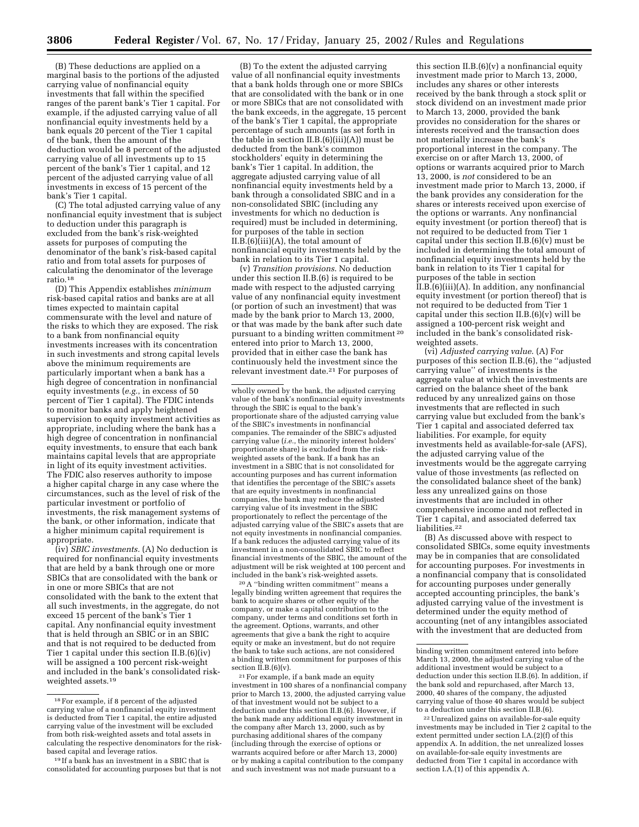(B) These deductions are applied on a marginal basis to the portions of the adjusted carrying value of nonfinancial equity investments that fall within the specified ranges of the parent bank's Tier 1 capital. For example, if the adjusted carrying value of all nonfinancial equity investments held by a bank equals 20 percent of the Tier 1 capital of the bank, then the amount of the deduction would be 8 percent of the adjusted carrying value of all investments up to 15 percent of the bank's Tier 1 capital, and 12 percent of the adjusted carrying value of all investments in excess of 15 percent of the bank's Tier 1 capital.

(C) The total adjusted carrying value of any nonfinancial equity investment that is subject to deduction under this paragraph is excluded from the bank's risk-weighted assets for purposes of computing the denominator of the bank's risk-based capital ratio and from total assets for purposes of calculating the denominator of the leverage ratio.18

(D) This Appendix establishes *minimum* risk-based capital ratios and banks are at all times expected to maintain capital commensurate with the level and nature of the risks to which they are exposed. The risk to a bank from nonfinancial equity investments increases with its concentration in such investments and strong capital levels above the minimum requirements are particularly important when a bank has a high degree of concentration in nonfinancial equity investments (*e.g.*, in excess of 50 percent of Tier 1 capital). The FDIC intends to monitor banks and apply heightened supervision to equity investment activities as appropriate, including where the bank has a high degree of concentration in nonfinancial equity investments, to ensure that each bank maintains capital levels that are appropriate in light of its equity investment activities. The FDIC also reserves authority to impose a higher capital charge in any case where the circumstances, such as the level of risk of the particular investment or portfolio of investments, the risk management systems of the bank, or other information, indicate that a higher minimum capital requirement is appropriate.

(iv) *SBIC investments.* (A) No deduction is required for nonfinancial equity investments that are held by a bank through one or more SBICs that are consolidated with the bank or in one or more SBICs that are not consolidated with the bank to the extent that all such investments, in the aggregate, do not exceed 15 percent of the bank's Tier 1 capital. Any nonfinancial equity investment that is held through an SBIC or in an SBIC and that is not required to be deducted from Tier 1 capital under this section II.B.(6)(iv) will be assigned a 100 percent risk-weight and included in the bank's consolidated riskweighted assets.19

(B) To the extent the adjusted carrying value of all nonfinancial equity investments that a bank holds through one or more SBICs that are consolidated with the bank or in one or more SBICs that are not consolidated with the bank exceeds, in the aggregate, 15 percent of the bank's Tier 1 capital, the appropriate percentage of such amounts (as set forth in the table in section  $II.B.(6)(iii)(A))$  must be deducted from the bank's common stockholders' equity in determining the bank's Tier 1 capital. In addition, the aggregate adjusted carrying value of all nonfinancial equity investments held by a bank through a consolidated SBIC and in a non-consolidated SBIC (including any investments for which no deduction is required) must be included in determining, for purposes of the table in section  $II.B.(6)$ (iii)(A), the total amount of nonfinancial equity investments held by the bank in relation to its Tier 1 capital.

(v) *Transition provisions*. No deduction under this section II.B.(6) is required to be made with respect to the adjusted carrying value of any nonfinancial equity investment (or portion of such an investment) that was made by the bank prior to March 13, 2000, or that was made by the bank after such date pursuant to a binding written commitment 20 entered into prior to March 13, 2000, provided that in either case the bank has continuously held the investment since the relevant investment date.21 For purposes of

20A ''binding written commitment'' means a legally binding written agreement that requires the bank to acquire shares or other equity of the company, or make a capital contribution to the company, under terms and conditions set forth in the agreement. Options, warrants, and other agreements that give a bank the right to acquire equity or make an investment, but do not require the bank to take such actions, are not considered a binding written commitment for purposes of this section  $II.B.(6)(v)$ .

21For example, if a bank made an equity investment in 100 shares of a nonfinancial company prior to March 13, 2000, the adjusted carrying value of that investment would not be subject to a deduction under this section II.B.(6). However, if the bank made any additional equity investment in the company after March 13, 2000, such as by purchasing additional shares of the company (including through the exercise of options or warrants acquired before or after March 13, 2000) or by making a capital contribution to the company and such investment was not made pursuant to a

this section  $II.B.(6)(v)$  a nonfinancial equity investment made prior to March 13, 2000, includes any shares or other interests received by the bank through a stock split or stock dividend on an investment made prior to March 13, 2000, provided the bank provides no consideration for the shares or interests received and the transaction does not materially increase the bank's proportional interest in the company. The exercise on or after March 13, 2000, of options or warrants acquired prior to March 13, 2000, is *not* considered to be an investment made prior to March 13, 2000, if the bank provides any consideration for the shares or interests received upon exercise of the options or warrants. Any nonfinancial equity investment (or portion thereof) that is not required to be deducted from Tier 1 capital under this section  $II.B.(6)(v)$  must be included in determining the total amount of nonfinancial equity investments held by the bank in relation to its Tier 1 capital for purposes of the table in section  $\overline{\text{II.B.}}(6)(\overline{\text{iii}})(A)$ . In addition, any nonfinancial equity investment (or portion thereof) that is not required to be deducted from Tier 1 capital under this section  $II.B.(6)(v)$  will be assigned a 100-percent risk weight and included in the bank's consolidated riskweighted assets.

(vi) *Adjusted carrying value*. (A) For purposes of this section II.B.(6), the ''adjusted carrying value'' of investments is the aggregate value at which the investments are carried on the balance sheet of the bank reduced by any unrealized gains on those investments that are reflected in such carrying value but excluded from the bank's Tier 1 capital and associated deferred tax liabilities. For example, for equity investments held as available-for-sale (AFS), the adjusted carrying value of the investments would be the aggregate carrying value of those investments (as reflected on the consolidated balance sheet of the bank) less any unrealized gains on those investments that are included in other comprehensive income and not reflected in Tier 1 capital, and associated deferred tax liabilities.22

(B) As discussed above with respect to consolidated SBICs, some equity investments may be in companies that are consolidated for accounting purposes. For investments in a nonfinancial company that is consolidated for accounting purposes under generally accepted accounting principles, the bank's adjusted carrying value of the investment is determined under the equity method of accounting (net of any intangibles associated with the investment that are deducted from

<sup>18</sup>For example, if 8 percent of the adjusted carrying value of a nonfinancial equity investment is deducted from Tier 1 capital, the entire adjusted carrying value of the investment will be excluded from both risk-weighted assets and total assets in calculating the respective denominators for the riskbased capital and leverage ratios.

<sup>19</sup> If a bank has an investment in a SBIC that is consolidated for accounting purposes but that is not

wholly owned by the bank, the adjusted carrying value of the bank's nonfinancial equity investments through the SBIC is equal to the bank's proportionate share of the adjusted carrying value of the SBIC's investments in nonfinancial companies. The remainder of the SBIC's adjusted carrying value (*i.e.*, the minority interest holders' proportionate share) is excluded from the riskweighted assets of the bank. If a bank has an investment in a SBIC that is not consolidated for accounting purposes and has current information that identifies the percentage of the SBIC's assets that are equity investments in nonfinancial companies, the bank may reduce the adjusted carrying value of its investment in the SBIC proportionately to reflect the percentage of the adjusted carrying value of the SBIC's assets that are not equity investments in nonfinancial companies. If a bank reduces the adjusted carrying value of its investment in a non-consolidated SBIC to reflect financial investments of the SBIC, the amount of the adjustment will be risk weighted at 100 percent and included in the bank's risk-weighted assets.

binding written commitment entered into before March 13, 2000, the adjusted carrying value of the additional investment would be subject to a deduction under this section II.B.(6). In addition, if the bank sold and repurchased, after March 13, 2000, 40 shares of the company, the adjusted carrying value of those 40 shares would be subject to a deduction under this section II.B.(6).

<sup>22</sup>Unrealized gains on available-for-sale equity investments may be included in Tier 2 capital to the extent permitted under section I.A.(2)(f) of this appendix A. In addition, the net unrealized losses on available-for-sale equity investments are deducted from Tier 1 capital in accordance with section I.A.(1) of this appendix A.